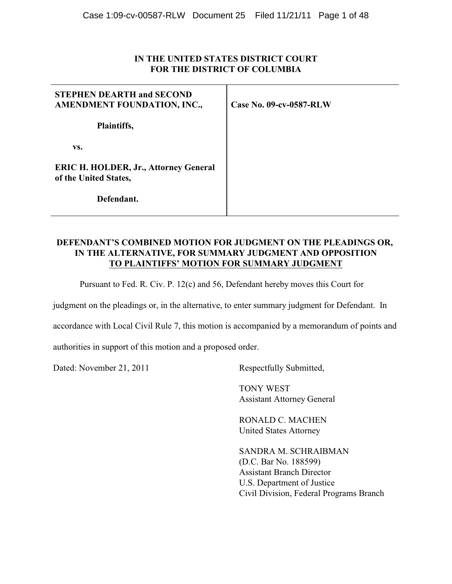# **IN THE UNITED STATES DISTRICT COURT FOR THE DISTRICT OF COLUMBIA**

| <b>STEPHEN DEARTH and SECOND</b><br>AMENDMENT FOUNDATION, INC.,       | Case No. 09-cv-0587-RLW |
|-----------------------------------------------------------------------|-------------------------|
| Plaintiffs,                                                           |                         |
| VS.                                                                   |                         |
| <b>ERIC H. HOLDER, Jr., Attorney General</b><br>of the United States, |                         |
| Defendant.                                                            |                         |

# **DEFENDANT'S COMBINED MOTION FOR JUDGMENT ON THE PLEADINGS OR, IN THE ALTERNATIVE, FOR SUMMARY JUDGMENT AND OPPOSITION TO PLAINTIFFS' MOTION FOR SUMMARY JUDGMENT**

Pursuant to Fed. R. Civ. P. 12(c) and 56, Defendant hereby moves this Court for

judgment on the pleadings or, in the alternative, to enter summary judgment for Defendant. In

accordance with Local Civil Rule 7, this motion is accompanied by a memorandum of points and

authorities in support of this motion and a proposed order.

Dated: November 21, 2011 Respectfully Submitted,

 TONY WEST Assistant Attorney General

RONALD C. MACHEN United States Attorney

SANDRA M. SCHRAIBMAN (D.C. Bar No. 188599) Assistant Branch Director U.S. Department of Justice Civil Division, Federal Programs Branch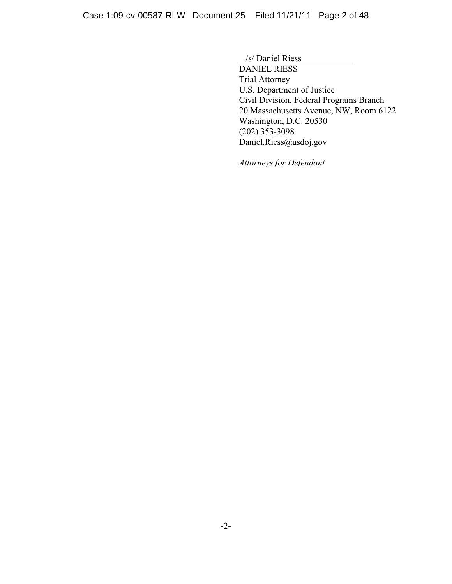/s/ Daniel Riess DANIEL RIESS Trial Attorney U.S. Department of Justice Civil Division, Federal Programs Branch 20 Massachusetts Avenue, NW, Room 6122 Washington, D.C. 20530 (202) 353-3098 Daniel.Riess@usdoj.gov

*Attorneys for Defendant*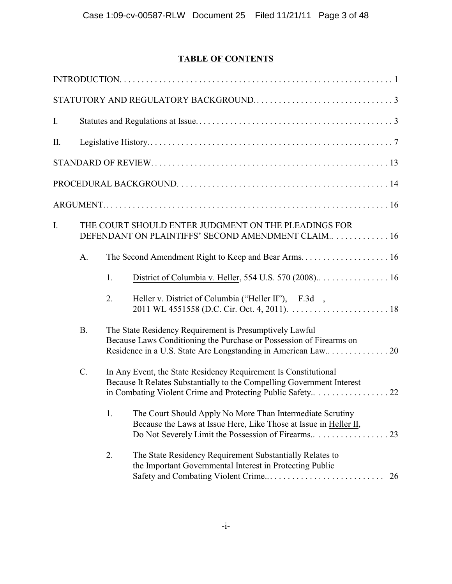# **TABLE OF CONTENTS**

| I. |                                                                                                                                                              |    |                                                                                                                                                                                          |  |  |
|----|--------------------------------------------------------------------------------------------------------------------------------------------------------------|----|------------------------------------------------------------------------------------------------------------------------------------------------------------------------------------------|--|--|
| Π. |                                                                                                                                                              |    |                                                                                                                                                                                          |  |  |
|    |                                                                                                                                                              |    |                                                                                                                                                                                          |  |  |
|    |                                                                                                                                                              |    |                                                                                                                                                                                          |  |  |
|    |                                                                                                                                                              |    |                                                                                                                                                                                          |  |  |
| I. | THE COURT SHOULD ENTER JUDGMENT ON THE PLEADINGS FOR<br>DEFENDANT ON PLAINTIFFS' SECOND AMENDMENT CLAIM 16                                                   |    |                                                                                                                                                                                          |  |  |
|    | A.                                                                                                                                                           |    |                                                                                                                                                                                          |  |  |
|    |                                                                                                                                                              | 1. |                                                                                                                                                                                          |  |  |
|    |                                                                                                                                                              | 2. | Heller v. District of Columbia ("Heller II"), $E.3d$ ,                                                                                                                                   |  |  |
|    | <b>B.</b>                                                                                                                                                    |    | The State Residency Requirement is Presumptively Lawful<br>Because Laws Conditioning the Purchase or Possession of Firearms on                                                           |  |  |
|    | $\mathcal{C}$ .<br>In Any Event, the State Residency Requirement Is Constitutional<br>Because It Relates Substantially to the Compelling Government Interest |    |                                                                                                                                                                                          |  |  |
|    |                                                                                                                                                              | 1. | The Court Should Apply No More Than Intermediate Scrutiny<br>Because the Laws at Issue Here, Like Those at Issue in Heller II,<br>Do Not Severely Limit the Possession of Firearms<br>23 |  |  |
|    |                                                                                                                                                              | 2. | The State Residency Requirement Substantially Relates to<br>the Important Governmental Interest in Protecting Public<br>26                                                               |  |  |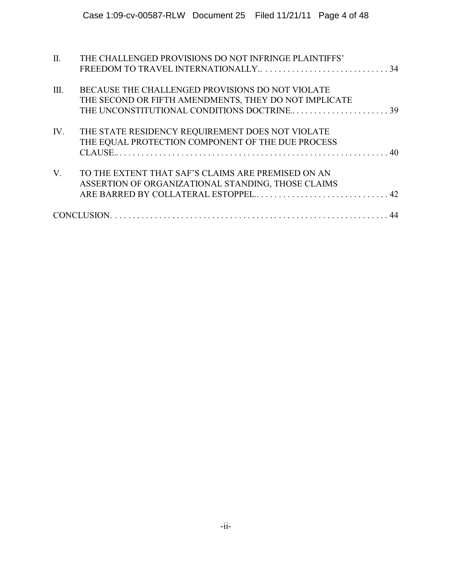| $\Pi$ .     | THE CHALLENGED PROVISIONS DO NOT INFRINGE PLAINTIFFS' |
|-------------|-------------------------------------------------------|
|             |                                                       |
| Ш.          | BECAUSE THE CHALLENGED PROVISIONS DO NOT VIOLATE      |
|             | THE SECOND OR FIFTH AMENDMENTS, THEY DO NOT IMPLICATE |
|             | THE UNCONSTITUTIONAL CONDITIONS DOCTRINE39            |
| IV.         | THE STATE RESIDENCY REQUIREMENT DOES NOT VIOLATE      |
|             | THE EQUAL PROTECTION COMPONENT OF THE DUE PROCESS     |
|             |                                                       |
| $V_{\cdot}$ | TO THE EXTENT THAT SAF'S CLAIMS ARE PREMISED ON AN    |
|             | ASSERTION OF ORGANIZATIONAL STANDING, THOSE CLAIMS    |
|             |                                                       |
|             |                                                       |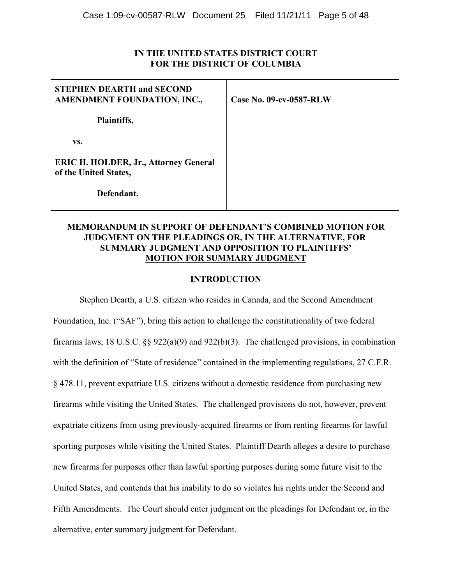# **IN THE UNITED STATES DISTRICT COURT FOR THE DISTRICT OF COLUMBIA**

| <b>STEPHEN DEARTH and SECOND</b><br>AMENDMENT FOUNDATION, INC.,       | Case No. 09-cv-0587-RLW |
|-----------------------------------------------------------------------|-------------------------|
| Plaintiffs,                                                           |                         |
| VS.                                                                   |                         |
| <b>ERIC H. HOLDER, Jr., Attorney General</b><br>of the United States, |                         |
| Defendant.                                                            |                         |

# **MEMORANDUM IN SUPPORT OF DEFENDANT'S COMBINED MOTION FOR JUDGMENT ON THE PLEADINGS OR, IN THE ALTERNATIVE, FOR SUMMARY JUDGMENT AND OPPOSITION TO PLAINTIFFS' MOTION FOR SUMMARY JUDGMENT**

### **INTRODUCTION**

Stephen Dearth, a U.S. citizen who resides in Canada, and the Second Amendment Foundation, Inc. ("SAF"), bring this action to challenge the constitutionality of two federal firearms laws, 18 U.S.C. §§ 922(a)(9) and 922(b)(3). The challenged provisions, in combination with the definition of "State of residence" contained in the implementing regulations, 27 C.F.R. § 478.11, prevent expatriate U.S. citizens without a domestic residence from purchasing new firearms while visiting the United States. The challenged provisions do not, however, prevent expatriate citizens from using previously-acquired firearms or from renting firearms for lawful sporting purposes while visiting the United States. Plaintiff Dearth alleges a desire to purchase new firearms for purposes other than lawful sporting purposes during some future visit to the United States, and contends that his inability to do so violates his rights under the Second and Fifth Amendments. The Court should enter judgment on the pleadings for Defendant or, in the alternative, enter summary judgment for Defendant.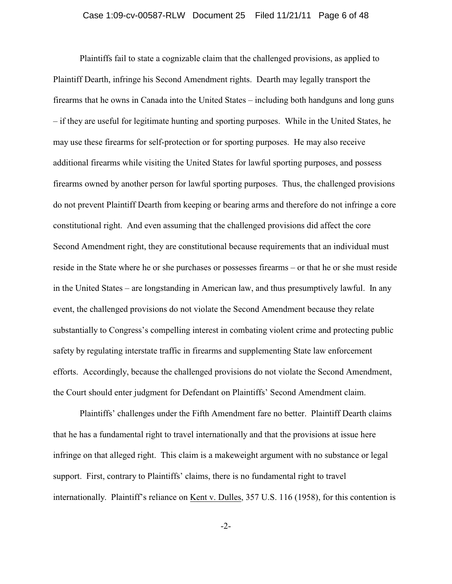### Case 1:09-cv-00587-RLW Document 25 Filed 11/21/11 Page 6 of 48

Plaintiffs fail to state a cognizable claim that the challenged provisions, as applied to Plaintiff Dearth, infringe his Second Amendment rights. Dearth may legally transport the firearms that he owns in Canada into the United States – including both handguns and long guns – if they are useful for legitimate hunting and sporting purposes. While in the United States, he may use these firearms for self-protection or for sporting purposes. He may also receive additional firearms while visiting the United States for lawful sporting purposes, and possess firearms owned by another person for lawful sporting purposes. Thus, the challenged provisions do not prevent Plaintiff Dearth from keeping or bearing arms and therefore do not infringe a core constitutional right. And even assuming that the challenged provisions did affect the core Second Amendment right, they are constitutional because requirements that an individual must reside in the State where he or she purchases or possesses firearms – or that he or she must reside in the United States – are longstanding in American law, and thus presumptively lawful. In any event, the challenged provisions do not violate the Second Amendment because they relate substantially to Congress's compelling interest in combating violent crime and protecting public safety by regulating interstate traffic in firearms and supplementing State law enforcement efforts. Accordingly, because the challenged provisions do not violate the Second Amendment, the Court should enter judgment for Defendant on Plaintiffs' Second Amendment claim.

Plaintiffs' challenges under the Fifth Amendment fare no better. Plaintiff Dearth claims that he has a fundamental right to travel internationally and that the provisions at issue here infringe on that alleged right. This claim is a makeweight argument with no substance or legal support. First, contrary to Plaintiffs' claims, there is no fundamental right to travel internationally. Plaintiff's reliance on Kent v. Dulles, 357 U.S. 116 (1958), for this contention is

-2-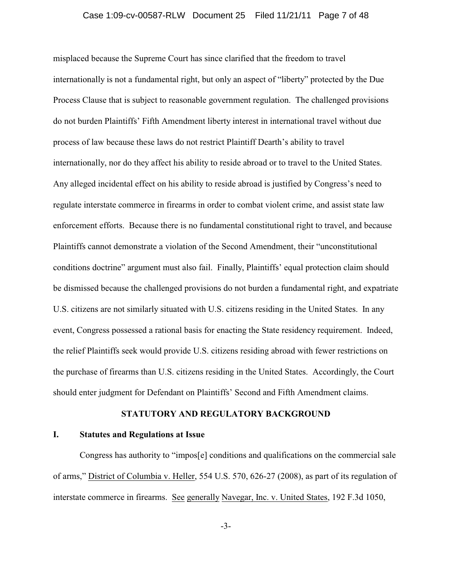### Case 1:09-cv-00587-RLW Document 25 Filed 11/21/11 Page 7 of 48

misplaced because the Supreme Court has since clarified that the freedom to travel internationally is not a fundamental right, but only an aspect of "liberty" protected by the Due Process Clause that is subject to reasonable government regulation. The challenged provisions do not burden Plaintiffs' Fifth Amendment liberty interest in international travel without due process of law because these laws do not restrict Plaintiff Dearth's ability to travel internationally, nor do they affect his ability to reside abroad or to travel to the United States. Any alleged incidental effect on his ability to reside abroad is justified by Congress's need to regulate interstate commerce in firearms in order to combat violent crime, and assist state law enforcement efforts. Because there is no fundamental constitutional right to travel, and because Plaintiffs cannot demonstrate a violation of the Second Amendment, their "unconstitutional conditions doctrine" argument must also fail. Finally, Plaintiffs' equal protection claim should be dismissed because the challenged provisions do not burden a fundamental right, and expatriate U.S. citizens are not similarly situated with U.S. citizens residing in the United States. In any event, Congress possessed a rational basis for enacting the State residency requirement. Indeed, the relief Plaintiffs seek would provide U.S. citizens residing abroad with fewer restrictions on the purchase of firearms than U.S. citizens residing in the United States. Accordingly, the Court should enter judgment for Defendant on Plaintiffs' Second and Fifth Amendment claims.

# **STATUTORY AND REGULATORY BACKGROUND**

### **I. Statutes and Regulations at Issue**

Congress has authority to "impos[e] conditions and qualifications on the commercial sale of arms," District of Columbia v. Heller, 554 U.S. 570, 626-27 (2008), as part of its regulation of interstate commerce in firearms. See generally Navegar, Inc. v. United States, 192 F.3d 1050,

-3-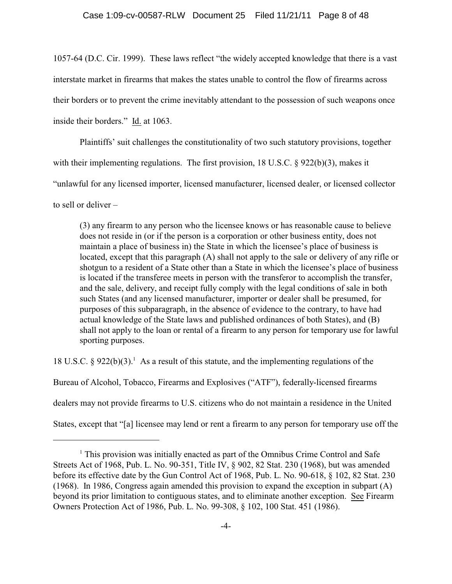1057-64 (D.C. Cir. 1999). These laws reflect "the widely accepted knowledge that there is a vast interstate market in firearms that makes the states unable to control the flow of firearms across their borders or to prevent the crime inevitably attendant to the possession of such weapons once inside their borders." Id. at 1063.

Plaintiffs' suit challenges the constitutionality of two such statutory provisions, together with their implementing regulations. The first provision, 18 U.S.C. § 922(b)(3), makes it "unlawful for any licensed importer, licensed manufacturer, licensed dealer, or licensed collector to sell or deliver –

(3) any firearm to any person who the licensee knows or has reasonable cause to believe does not reside in (or if the person is a corporation or other business entity, does not maintain a place of business in) the State in which the licensee's place of business is located, except that this paragraph (A) shall not apply to the sale or delivery of any rifle or shotgun to a resident of a State other than a State in which the licensee's place of business is located if the transferee meets in person with the transferor to accomplish the transfer, and the sale, delivery, and receipt fully comply with the legal conditions of sale in both such States (and any licensed manufacturer, importer or dealer shall be presumed, for purposes of this subparagraph, in the absence of evidence to the contrary, to have had actual knowledge of the State laws and published ordinances of both States), and (B) shall not apply to the loan or rental of a firearm to any person for temporary use for lawful sporting purposes.

18 U.S.C. § 922(b)(3).<sup>1</sup> As a result of this statute, and the implementing regulations of the Bureau of Alcohol, Tobacco, Firearms and Explosives ("ATF"), federally-licensed firearms dealers may not provide firearms to U.S. citizens who do not maintain a residence in the United States, except that "[a] licensee may lend or rent a firearm to any person for temporary use off the

 $<sup>1</sup>$  This provision was initially enacted as part of the Omnibus Crime Control and Safe</sup> Streets Act of 1968, Pub. L. No. 90-351, Title IV, § 902, 82 Stat. 230 (1968), but was amended before its effective date by the Gun Control Act of 1968, Pub. L. No. 90-618, § 102, 82 Stat. 230 (1968). In 1986, Congress again amended this provision to expand the exception in subpart (A) beyond its prior limitation to contiguous states, and to eliminate another exception. See Firearm Owners Protection Act of 1986, Pub. L. No. 99-308, § 102, 100 Stat. 451 (1986).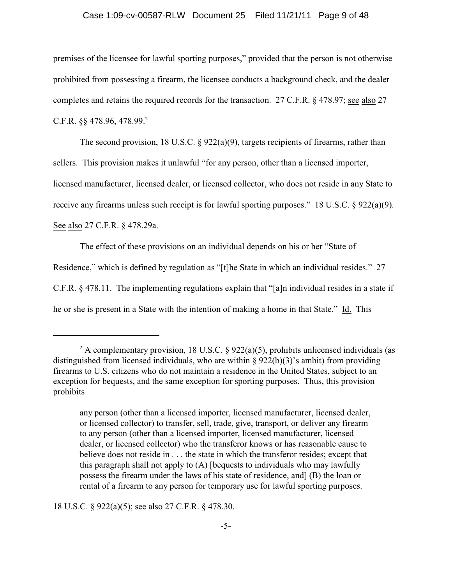### Case 1:09-cv-00587-RLW Document 25 Filed 11/21/11 Page 9 of 48

premises of the licensee for lawful sporting purposes," provided that the person is not otherwise prohibited from possessing a firearm, the licensee conducts a background check, and the dealer completes and retains the required records for the transaction. 27 C.F.R. § 478.97; see also 27 C.F.R.  $\S$  478.96, 478.99.<sup>2</sup>

The second provision, 18 U.S.C. § 922(a)(9), targets recipients of firearms, rather than sellers. This provision makes it unlawful "for any person, other than a licensed importer, licensed manufacturer, licensed dealer, or licensed collector, who does not reside in any State to receive any firearms unless such receipt is for lawful sporting purposes." 18 U.S.C. § 922(a)(9). See also 27 C.F.R. § 478.29a.

The effect of these provisions on an individual depends on his or her "State of Residence," which is defined by regulation as "[t]he State in which an individual resides." 27 C.F.R. § 478.11. The implementing regulations explain that "[a]n individual resides in a state if he or she is present in a State with the intention of making a home in that State." Id. This

18 U.S.C. § 922(a)(5); see also 27 C.F.R. § 478.30.

<sup>&</sup>lt;sup>2</sup> A complementary provision, 18 U.S.C. § 922(a)(5), prohibits unlicensed individuals (as distinguished from licensed individuals, who are within  $\S 922(b)(3)$ 's ambit) from providing firearms to U.S. citizens who do not maintain a residence in the United States, subject to an exception for bequests, and the same exception for sporting purposes. Thus, this provision prohibits

any person (other than a licensed importer, licensed manufacturer, licensed dealer, or licensed collector) to transfer, sell, trade, give, transport, or deliver any firearm to any person (other than a licensed importer, licensed manufacturer, licensed dealer, or licensed collector) who the transferor knows or has reasonable cause to believe does not reside in . . . the state in which the transferor resides; except that this paragraph shall not apply to (A) [bequests to individuals who may lawfully possess the firearm under the laws of his state of residence, and] (B) the loan or rental of a firearm to any person for temporary use for lawful sporting purposes.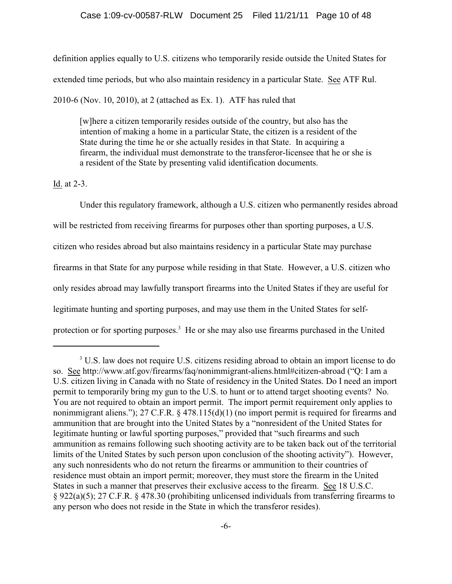definition applies equally to U.S. citizens who temporarily reside outside the United States for extended time periods, but who also maintain residency in a particular State. See ATF Rul. 2010-6 (Nov. 10, 2010), at 2 (attached as Ex. 1). ATF has ruled that

[w]here a citizen temporarily resides outside of the country, but also has the intention of making a home in a particular State, the citizen is a resident of the State during the time he or she actually resides in that State. In acquiring a firearm, the individual must demonstrate to the transferor-licensee that he or she is a resident of the State by presenting valid identification documents.

Id. at 2-3.

Under this regulatory framework, although a U.S. citizen who permanently resides abroad will be restricted from receiving firearms for purposes other than sporting purposes, a U.S. citizen who resides abroad but also maintains residency in a particular State may purchase firearms in that State for any purpose while residing in that State. However, a U.S. citizen who only resides abroad may lawfully transport firearms into the United States if they are useful for legitimate hunting and sporting purposes, and may use them in the United States for selfprotection or for sporting purposes.<sup>3</sup> He or she may also use firearms purchased in the United

<sup>&</sup>lt;sup>3</sup> U.S. law does not require U.S. citizens residing abroad to obtain an import license to do so. See http://www.atf.gov/firearms/faq/nonimmigrant-aliens.html#citizen-abroad ("Q: I am a U.S. citizen living in Canada with no State of residency in the United States. Do I need an import permit to temporarily bring my gun to the U.S. to hunt or to attend target shooting events? No. You are not required to obtain an import permit. The import permit requirement only applies to nonimmigrant aliens."); 27 C.F.R. § 478.115(d)(1) (no import permit is required for firearms and ammunition that are brought into the United States by a "nonresident of the United States for legitimate hunting or lawful sporting purposes," provided that "such firearms and such ammunition as remains following such shooting activity are to be taken back out of the territorial limits of the United States by such person upon conclusion of the shooting activity"). However, any such nonresidents who do not return the firearms or ammunition to their countries of residence must obtain an import permit; moreover, they must store the firearm in the United States in such a manner that preserves their exclusive access to the firearm. See 18 U.S.C. § 922(a)(5); 27 C.F.R. § 478.30 (prohibiting unlicensed individuals from transferring firearms to any person who does not reside in the State in which the transferor resides).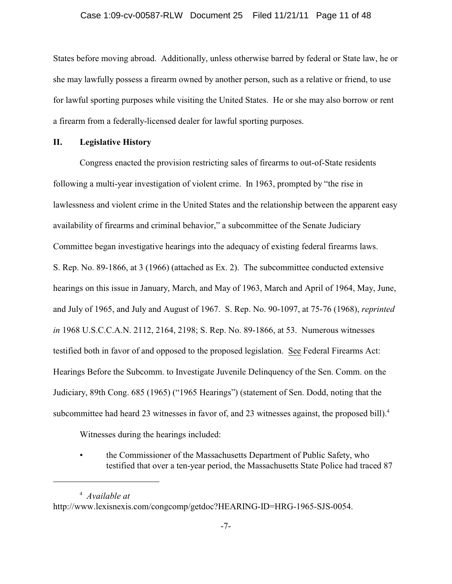States before moving abroad. Additionally, unless otherwise barred by federal or State law, he or she may lawfully possess a firearm owned by another person, such as a relative or friend, to use for lawful sporting purposes while visiting the United States. He or she may also borrow or rent a firearm from a federally-licensed dealer for lawful sporting purposes.

### **II. Legislative History**

Congress enacted the provision restricting sales of firearms to out-of-State residents following a multi-year investigation of violent crime. In 1963, prompted by "the rise in lawlessness and violent crime in the United States and the relationship between the apparent easy availability of firearms and criminal behavior," a subcommittee of the Senate Judiciary Committee began investigative hearings into the adequacy of existing federal firearms laws. S. Rep. No. 89-1866, at 3 (1966) (attached as Ex. 2). The subcommittee conducted extensive hearings on this issue in January, March, and May of 1963, March and April of 1964, May, June, and July of 1965, and July and August of 1967. S. Rep. No. 90-1097, at 75-76 (1968), *reprinted in* 1968 U.S.C.C.A.N. 2112, 2164, 2198; S. Rep. No. 89-1866, at 53. Numerous witnesses testified both in favor of and opposed to the proposed legislation. See Federal Firearms Act: Hearings Before the Subcomm. to Investigate Juvenile Delinquency of the Sen. Comm. on the Judiciary, 89th Cong. 685 (1965) ("1965 Hearings") (statement of Sen. Dodd, noting that the subcommittee had heard 23 witnesses in favor of, and 23 witnesses against, the proposed bill).<sup>4</sup>

Witnesses during the hearings included:

• the Commissioner of the Massachusetts Department of Public Safety, who testified that over a ten-year period, the Massachusetts State Police had traced 87

<sup>&</sup>lt;sup>4</sup> Available at http://www.lexisnexis.com/congcomp/getdoc?HEARING-ID=HRG-1965-SJS-0054.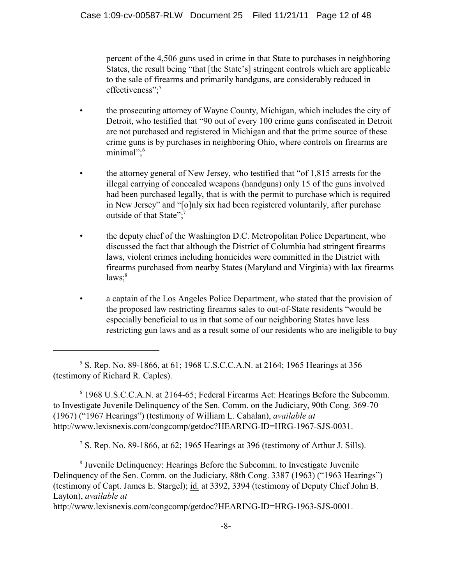percent of the 4,506 guns used in crime in that State to purchases in neighboring States, the result being "that [the State's] stringent controls which are applicable to the sale of firearms and primarily handguns, are considerably reduced in effectiveness";<sup>5</sup>

- the prosecuting attorney of Wayne County, Michigan, which includes the city of Detroit, who testified that "90 out of every 100 crime guns confiscated in Detroit are not purchased and registered in Michigan and that the prime source of these crime guns is by purchases in neighboring Ohio, where controls on firearms are minimal";<sup>6</sup>
- the attorney general of New Jersey, who testified that "of 1,815 arrests for the illegal carrying of concealed weapons (handguns) only 15 of the guns involved had been purchased legally, that is with the permit to purchase which is required in New Jersey" and "[o]nly six had been registered voluntarily, after purchase outside of that State";<sup>7</sup>
- the deputy chief of the Washington D.C. Metropolitan Police Department, who discussed the fact that although the District of Columbia had stringent firearms laws, violent crimes including homicides were committed in the District with firearms purchased from nearby States (Maryland and Virginia) with lax firearms  $laws; <sup>8</sup>$
- a captain of the Los Angeles Police Department, who stated that the provision of the proposed law restricting firearms sales to out-of-State residents "would be especially beneficial to us in that some of our neighboring States have less restricting gun laws and as a result some of our residents who are ineligible to buy

 1968 U.S.C.C.A.N. at 2164-65; Federal Firearms Act: Hearings Before the Subcomm. <sup>6</sup> to Investigate Juvenile Delinquency of the Sen. Comm. on the Judiciary, 90th Cong. 369-70 (1967) ("1967 Hearings") (testimony of William L. Cahalan), *available at* http://www.lexisnexis.com/congcomp/getdoc?HEARING-ID=HRG-1967-SJS-0031.

<sup>7</sup> S. Rep. No. 89-1866, at 62; 1965 Hearings at 396 (testimony of Arthur J. Sills).

<sup>8</sup> Juvenile Delinquency: Hearings Before the Subcomm. to Investigate Juvenile Delinquency of the Sen. Comm. on the Judiciary, 88th Cong. 3387 (1963) ("1963 Hearings") (testimony of Capt. James E. Stargel); id. at 3392, 3394 (testimony of Deputy Chief John B. Layton), *available at*

http://www.lexisnexis.com/congcomp/getdoc?HEARING-ID=HRG-1963-SJS-0001.

<sup>&</sup>lt;sup>5</sup> S. Rep. No. 89-1866, at 61; 1968 U.S.C.C.A.N. at 2164; 1965 Hearings at 356 (testimony of Richard R. Caples).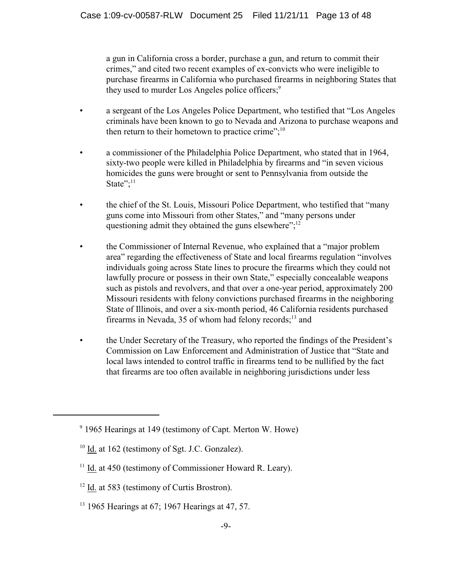a gun in California cross a border, purchase a gun, and return to commit their crimes," and cited two recent examples of ex-convicts who were ineligible to purchase firearms in California who purchased firearms in neighboring States that they used to murder Los Angeles police officers;<sup>9</sup>

- a sergeant of the Los Angeles Police Department, who testified that "Los Angeles criminals have been known to go to Nevada and Arizona to purchase weapons and then return to their hometown to practice crime"; $^{10}$
- a commissioner of the Philadelphia Police Department, who stated that in 1964, sixty-two people were killed in Philadelphia by firearms and "in seven vicious homicides the guns were brought or sent to Pennsylvania from outside the State"; $^{11}$
- the chief of the St. Louis, Missouri Police Department, who testified that "many guns come into Missouri from other States," and "many persons under questioning admit they obtained the guns elsewhere";<sup>12</sup>
- the Commissioner of Internal Revenue, who explained that a "major problem" area" regarding the effectiveness of State and local firearms regulation "involves individuals going across State lines to procure the firearms which they could not lawfully procure or possess in their own State," especially concealable weapons such as pistols and revolvers, and that over a one-year period, approximately 200 Missouri residents with felony convictions purchased firearms in the neighboring State of Illinois, and over a six-month period, 46 California residents purchased firearms in Nevada, 35 of whom had felony records; $^{13}$  and
- the Under Secretary of the Treasury, who reported the findings of the President's Commission on Law Enforcement and Administration of Justice that "State and local laws intended to control traffic in firearms tend to be nullified by the fact that firearms are too often available in neighboring jurisdictions under less

 $9$  1965 Hearings at 149 (testimony of Capt. Merton W. Howe)

 $10$  Id. at 162 (testimony of Sgt. J.C. Gonzalez).

 $11$  Id. at 450 (testimony of Commissioner Howard R. Leary).

 $12$  Id. at 583 (testimony of Curtis Brostron).

 $13$  1965 Hearings at 67; 1967 Hearings at 47, 57.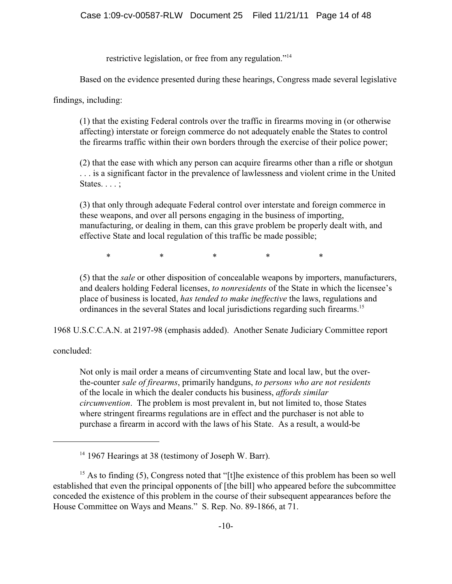restrictive legislation, or free from any regulation."<sup>14</sup>

Based on the evidence presented during these hearings, Congress made several legislative

findings, including:

(1) that the existing Federal controls over the traffic in firearms moving in (or otherwise affecting) interstate or foreign commerce do not adequately enable the States to control the firearms traffic within their own borders through the exercise of their police power;

(2) that the ease with which any person can acquire firearms other than a rifle or shotgun . . . is a significant factor in the prevalence of lawlessness and violent crime in the United States. . . . ;

(3) that only through adequate Federal control over interstate and foreign commerce in these weapons, and over all persons engaging in the business of importing, manufacturing, or dealing in them, can this grave problem be properly dealt with, and effective State and local regulation of this traffic be made possible;

\* \* \* \* \* \* \*

(5) that the *sale* or other disposition of concealable weapons by importers, manufacturers, and dealers holding Federal licenses, *to nonresidents* of the State in which the licensee's place of business is located, *has tended to make ineffective* the laws, regulations and ordinances in the several States and local jurisdictions regarding such firearms.<sup>15</sup>

1968 U.S.C.C.A.N. at 2197-98 (emphasis added). Another Senate Judiciary Committee report

concluded:

Not only is mail order a means of circumventing State and local law, but the overthe-counter *sale of firearms*, primarily handguns, *to persons who are not residents* of the locale in which the dealer conducts his business, *affords similar circumvention*. The problem is most prevalent in, but not limited to, those States where stringent firearms regulations are in effect and the purchaser is not able to purchase a firearm in accord with the laws of his State. As a result, a would-be

<sup>&</sup>lt;sup>14</sup> 1967 Hearings at 38 (testimony of Joseph W. Barr).

<sup>&</sup>lt;sup>15</sup> As to finding (5), Congress noted that "[t]he existence of this problem has been so well established that even the principal opponents of [the bill] who appeared before the subcommittee conceded the existence of this problem in the course of their subsequent appearances before the House Committee on Ways and Means." S. Rep. No. 89-1866, at 71.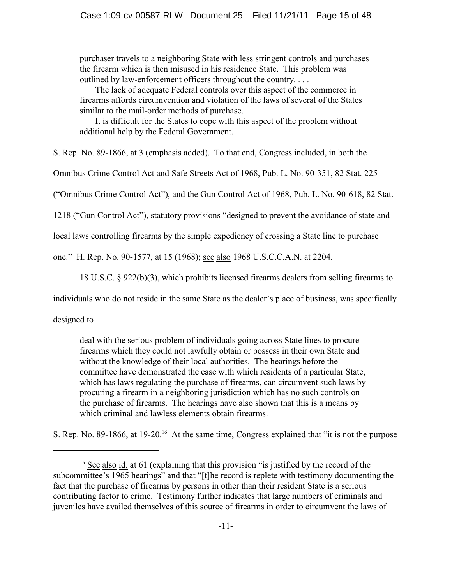purchaser travels to a neighboring State with less stringent controls and purchases the firearm which is then misused in his residence State. This problem was outlined by law-enforcement officers throughout the country. . . .

 The lack of adequate Federal controls over this aspect of the commerce in firearms affords circumvention and violation of the laws of several of the States similar to the mail-order methods of purchase.

 It is difficult for the States to cope with this aspect of the problem without additional help by the Federal Government.

S. Rep. No. 89-1866, at 3 (emphasis added). To that end, Congress included, in both the

Omnibus Crime Control Act and Safe Streets Act of 1968, Pub. L. No. 90-351, 82 Stat. 225

("Omnibus Crime Control Act"), and the Gun Control Act of 1968, Pub. L. No. 90-618, 82 Stat.

1218 ("Gun Control Act"), statutory provisions "designed to prevent the avoidance of state and

local laws controlling firearms by the simple expediency of crossing a State line to purchase

one." H. Rep. No. 90-1577, at 15 (1968); see also 1968 U.S.C.C.A.N. at 2204.

18 U.S.C. § 922(b)(3), which prohibits licensed firearms dealers from selling firearms to

individuals who do not reside in the same State as the dealer's place of business, was specifically

designed to

deal with the serious problem of individuals going across State lines to procure firearms which they could not lawfully obtain or possess in their own State and without the knowledge of their local authorities. The hearings before the committee have demonstrated the ease with which residents of a particular State, which has laws regulating the purchase of firearms, can circumvent such laws by procuring a firearm in a neighboring jurisdiction which has no such controls on the purchase of firearms. The hearings have also shown that this is a means by which criminal and lawless elements obtain firearms.

S. Rep. No. 89-1866, at  $19{\text -}20$ <sup>16</sup> At the same time, Congress explained that "it is not the purpose

 $16$  See also id. at 61 (explaining that this provision "is justified by the record of the subcommittee's 1965 hearings" and that "[t]he record is replete with testimony documenting the fact that the purchase of firearms by persons in other than their resident State is a serious contributing factor to crime. Testimony further indicates that large numbers of criminals and juveniles have availed themselves of this source of firearms in order to circumvent the laws of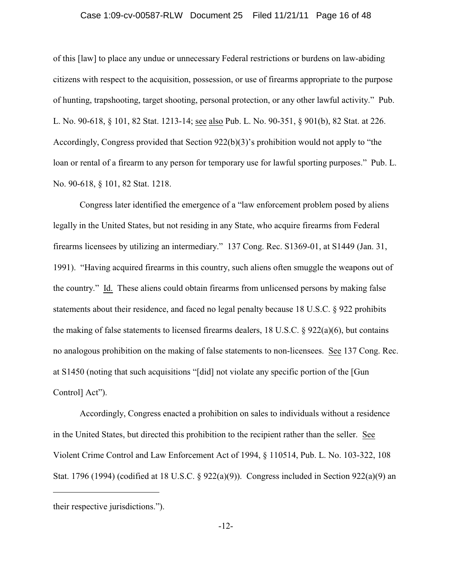### Case 1:09-cv-00587-RLW Document 25 Filed 11/21/11 Page 16 of 48

of this [law] to place any undue or unnecessary Federal restrictions or burdens on law-abiding citizens with respect to the acquisition, possession, or use of firearms appropriate to the purpose of hunting, trapshooting, target shooting, personal protection, or any other lawful activity." Pub. L. No. 90-618, § 101, 82 Stat. 1213-14; see also Pub. L. No. 90-351, § 901(b), 82 Stat. at 226. Accordingly, Congress provided that Section 922(b)(3)'s prohibition would not apply to "the loan or rental of a firearm to any person for temporary use for lawful sporting purposes." Pub. L. No. 90-618, § 101, 82 Stat. 1218.

Congress later identified the emergence of a "law enforcement problem posed by aliens legally in the United States, but not residing in any State, who acquire firearms from Federal firearms licensees by utilizing an intermediary." 137 Cong. Rec. S1369-01, at S1449 (Jan. 31, 1991). "Having acquired firearms in this country, such aliens often smuggle the weapons out of the country." Id. These aliens could obtain firearms from unlicensed persons by making false statements about their residence, and faced no legal penalty because 18 U.S.C. § 922 prohibits the making of false statements to licensed firearms dealers, 18 U.S.C. § 922(a)(6), but contains no analogous prohibition on the making of false statements to non-licensees. See 137 Cong. Rec. at S1450 (noting that such acquisitions "[did] not violate any specific portion of the [Gun Control] Act").

Accordingly, Congress enacted a prohibition on sales to individuals without a residence in the United States, but directed this prohibition to the recipient rather than the seller. See Violent Crime Control and Law Enforcement Act of 1994, § 110514, Pub. L. No. 103-322, 108 Stat. 1796 (1994) (codified at 18 U.S.C. § 922(a)(9)). Congress included in Section 922(a)(9) an

their respective jurisdictions.").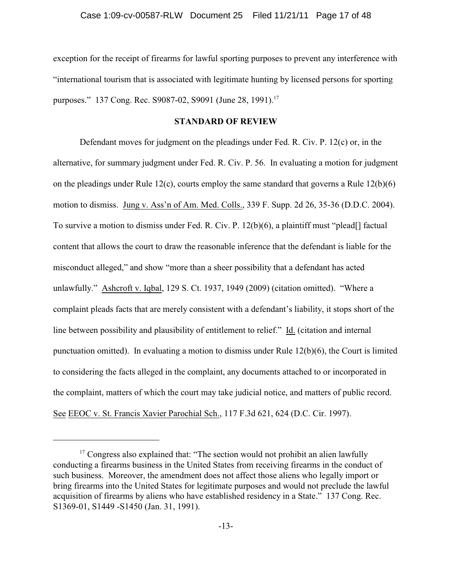exception for the receipt of firearms for lawful sporting purposes to prevent any interference with "international tourism that is associated with legitimate hunting by licensed persons for sporting purposes." 137 Cong. Rec. S9087-02, S9091 (June 28, 1991).<sup>17</sup>

### **STANDARD OF REVIEW**

Defendant moves for judgment on the pleadings under Fed. R. Civ. P. 12(c) or, in the alternative, for summary judgment under Fed. R. Civ. P. 56. In evaluating a motion for judgment on the pleadings under Rule 12(c), courts employ the same standard that governs a Rule 12(b)(6) motion to dismiss. Jung v. Ass'n of Am. Med. Colls., 339 F. Supp. 2d 26, 35-36 (D.D.C. 2004). To survive a motion to dismiss under Fed. R. Civ. P. 12(b)(6), a plaintiff must "plead[] factual content that allows the court to draw the reasonable inference that the defendant is liable for the misconduct alleged," and show "more than a sheer possibility that a defendant has acted unlawfully." Ashcroft v. Iqbal, 129 S. Ct. 1937, 1949 (2009) (citation omitted). "Where a complaint pleads facts that are merely consistent with a defendant's liability, it stops short of the line between possibility and plausibility of entitlement to relief." Id. (citation and internal punctuation omitted). In evaluating a motion to dismiss under Rule 12(b)(6), the Court is limited to considering the facts alleged in the complaint, any documents attached to or incorporated in the complaint, matters of which the court may take judicial notice, and matters of public record. See EEOC v. St. Francis Xavier Parochial Sch., 117 F.3d 621, 624 (D.C. Cir. 1997).

 $17$  Congress also explained that: "The section would not prohibit an alien lawfully conducting a firearms business in the United States from receiving firearms in the conduct of such business. Moreover, the amendment does not affect those aliens who legally import or bring firearms into the United States for legitimate purposes and would not preclude the lawful acquisition of firearms by aliens who have established residency in a State." 137 Cong. Rec. S1369-01, S1449 -S1450 (Jan. 31, 1991).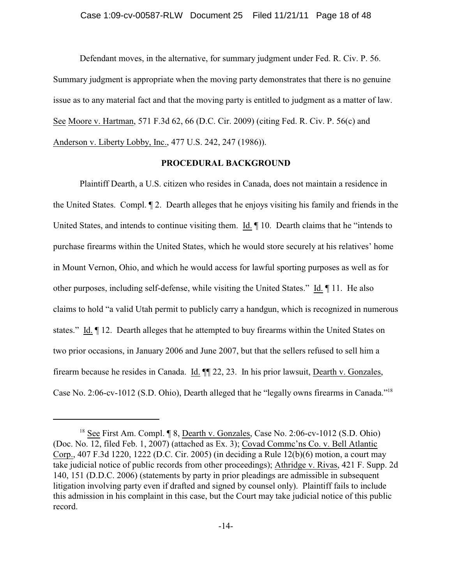Defendant moves, in the alternative, for summary judgment under Fed. R. Civ. P. 56. Summary judgment is appropriate when the moving party demonstrates that there is no genuine issue as to any material fact and that the moving party is entitled to judgment as a matter of law. See Moore v. Hartman, 571 F.3d 62, 66 (D.C. Cir. 2009) (citing Fed. R. Civ. P. 56(c) and Anderson v. Liberty Lobby, Inc., 477 U.S. 242, 247 (1986)).

### **PROCEDURAL BACKGROUND**

Plaintiff Dearth, a U.S. citizen who resides in Canada, does not maintain a residence in the United States. Compl. ¶ 2. Dearth alleges that he enjoys visiting his family and friends in the United States, and intends to continue visiting them. Id. ¶ 10. Dearth claims that he "intends to purchase firearms within the United States, which he would store securely at his relatives' home in Mount Vernon, Ohio, and which he would access for lawful sporting purposes as well as for other purposes, including self-defense, while visiting the United States." Id. ¶ 11. He also claims to hold "a valid Utah permit to publicly carry a handgun, which is recognized in numerous states." Id. ¶ 12. Dearth alleges that he attempted to buy firearms within the United States on two prior occasions, in January 2006 and June 2007, but that the sellers refused to sell him a firearm because he resides in Canada. Id. ¶¶ 22, 23. In his prior lawsuit, Dearth v. Gonzales, Case No. 2:06-cv-1012 (S.D. Ohio), Dearth alleged that he "legally owns firearms in Canada."<sup>18</sup>

 $18$  See First Am. Compl.  $\sqrt{9}$  8, Dearth v. Gonzales, Case No. 2:06-cv-1012 (S.D. Ohio) (Doc. No. 12, filed Feb. 1, 2007) (attached as Ex. 3); Covad Commc'ns Co. v. Bell Atlantic Corp., 407 F.3d 1220, 1222 (D.C. Cir. 2005) (in deciding a Rule 12(b)(6) motion, a court may take judicial notice of public records from other proceedings); Athridge v. Rivas, 421 F. Supp. 2d 140, 151 (D.D.C. 2006) (statements by party in prior pleadings are admissible in subsequent litigation involving party even if drafted and signed by counsel only). Plaintiff fails to include this admission in his complaint in this case, but the Court may take judicial notice of this public record.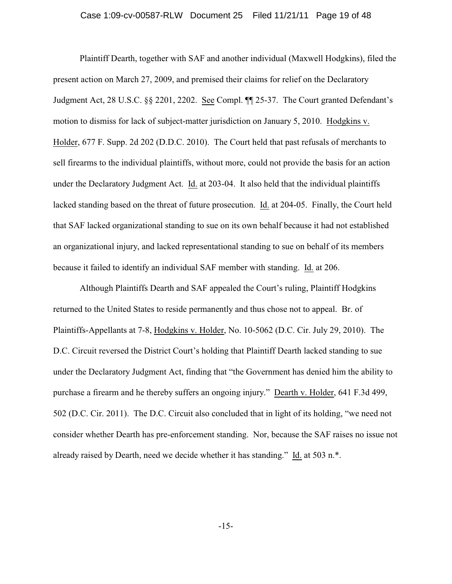### Case 1:09-cv-00587-RLW Document 25 Filed 11/21/11 Page 19 of 48

Plaintiff Dearth, together with SAF and another individual (Maxwell Hodgkins), filed the present action on March 27, 2009, and premised their claims for relief on the Declaratory Judgment Act, 28 U.S.C. §§ 2201, 2202. See Compl. ¶¶ 25-37. The Court granted Defendant's motion to dismiss for lack of subject-matter jurisdiction on January 5, 2010. Hodgkins v. Holder, 677 F. Supp. 2d 202 (D.D.C. 2010). The Court held that past refusals of merchants to sell firearms to the individual plaintiffs, without more, could not provide the basis for an action under the Declaratory Judgment Act. Id. at 203-04. It also held that the individual plaintiffs lacked standing based on the threat of future prosecution. Id. at 204-05. Finally, the Court held that SAF lacked organizational standing to sue on its own behalf because it had not established an organizational injury, and lacked representational standing to sue on behalf of its members because it failed to identify an individual SAF member with standing. Id. at 206.

Although Plaintiffs Dearth and SAF appealed the Court's ruling, Plaintiff Hodgkins returned to the United States to reside permanently and thus chose not to appeal. Br. of Plaintiffs-Appellants at 7-8, Hodgkins v. Holder, No. 10-5062 (D.C. Cir. July 29, 2010). The D.C. Circuit reversed the District Court's holding that Plaintiff Dearth lacked standing to sue under the Declaratory Judgment Act, finding that "the Government has denied him the ability to purchase a firearm and he thereby suffers an ongoing injury." Dearth v. Holder, 641 F.3d 499, 502 (D.C. Cir. 2011). The D.C. Circuit also concluded that in light of its holding, "we need not consider whether Dearth has pre-enforcement standing. Nor, because the SAF raises no issue not already raised by Dearth, need we decide whether it has standing." Id. at 503 n.\*.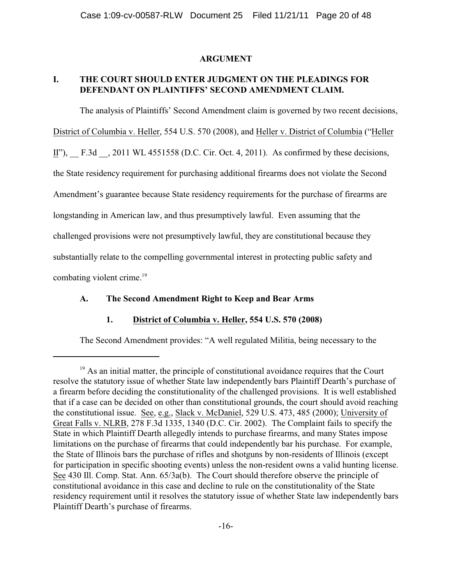### **ARGUMENT**

# **I. THE COURT SHOULD ENTER JUDGMENT ON THE PLEADINGS FOR DEFENDANT ON PLAINTIFFS' SECOND AMENDMENT CLAIM.**

The analysis of Plaintiffs' Second Amendment claim is governed by two recent decisions, District of Columbia v. Heller, 554 U.S. 570 (2008), and Heller v. District of Columbia ("Heller II"), F.3d , 2011 WL 4551558 (D.C. Cir. Oct. 4, 2011). As confirmed by these decisions, the State residency requirement for purchasing additional firearms does not violate the Second Amendment's guarantee because State residency requirements for the purchase of firearms are longstanding in American law, and thus presumptively lawful. Even assuming that the challenged provisions were not presumptively lawful, they are constitutional because they substantially relate to the compelling governmental interest in protecting public safety and combating violent crime.<sup>19</sup>

### **A. The Second Amendment Right to Keep and Bear Arms**

# **1. District of Columbia v. Heller, 554 U.S. 570 (2008)**

The Second Amendment provides: "A well regulated Militia, being necessary to the

 $19$  As an initial matter, the principle of constitutional avoidance requires that the Court resolve the statutory issue of whether State law independently bars Plaintiff Dearth's purchase of a firearm before deciding the constitutionality of the challenged provisions. It is well established that if a case can be decided on other than constitutional grounds, the court should avoid reaching the constitutional issue. See, e.g., Slack v. McDaniel, 529 U.S. 473, 485 (2000); University of Great Falls v. NLRB, 278 F.3d 1335, 1340 (D.C. Cir. 2002). The Complaint fails to specify the State in which Plaintiff Dearth allegedly intends to purchase firearms, and many States impose limitations on the purchase of firearms that could independently bar his purchase. For example, the State of Illinois bars the purchase of rifles and shotguns by non-residents of Illinois (except for participation in specific shooting events) unless the non-resident owns a valid hunting license. See 430 Ill. Comp. Stat. Ann. 65/3a(b). The Court should therefore observe the principle of constitutional avoidance in this case and decline to rule on the constitutionality of the State residency requirement until it resolves the statutory issue of whether State law independently bars Plaintiff Dearth's purchase of firearms.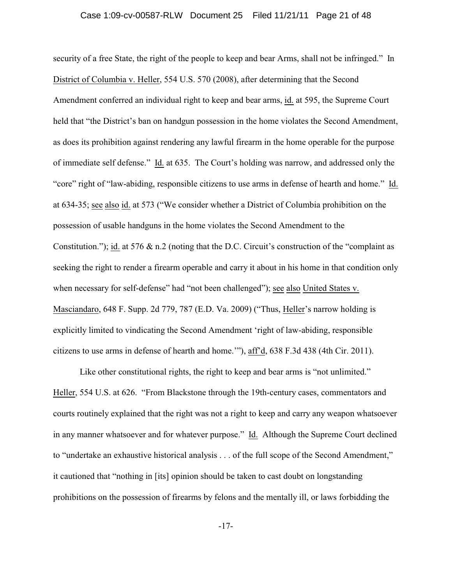security of a free State, the right of the people to keep and bear Arms, shall not be infringed." In District of Columbia v. Heller, 554 U.S. 570 (2008), after determining that the Second Amendment conferred an individual right to keep and bear arms, id. at 595, the Supreme Court held that "the District's ban on handgun possession in the home violates the Second Amendment, as does its prohibition against rendering any lawful firearm in the home operable for the purpose of immediate self defense." Id. at 635. The Court's holding was narrow, and addressed only the "core" right of "law-abiding, responsible citizens to use arms in defense of hearth and home." Id. at 634-35; see also id. at 573 ("We consider whether a District of Columbia prohibition on the possession of usable handguns in the home violates the Second Amendment to the Constitution."); id. at 576 & n.2 (noting that the D.C. Circuit's construction of the "complaint as seeking the right to render a firearm operable and carry it about in his home in that condition only when necessary for self-defense" had "not been challenged"); see also United States v. Masciandaro, 648 F. Supp. 2d 779, 787 (E.D. Va. 2009) ("Thus, Heller's narrow holding is explicitly limited to vindicating the Second Amendment 'right of law-abiding, responsible citizens to use arms in defense of hearth and home.'"), aff'd, 638 F.3d 438 (4th Cir. 2011).

Like other constitutional rights, the right to keep and bear arms is "not unlimited." Heller, 554 U.S. at 626. "From Blackstone through the 19th-century cases, commentators and courts routinely explained that the right was not a right to keep and carry any weapon whatsoever in any manner whatsoever and for whatever purpose." Id. Although the Supreme Court declined to "undertake an exhaustive historical analysis . . . of the full scope of the Second Amendment," it cautioned that "nothing in [its] opinion should be taken to cast doubt on longstanding prohibitions on the possession of firearms by felons and the mentally ill, or laws forbidding the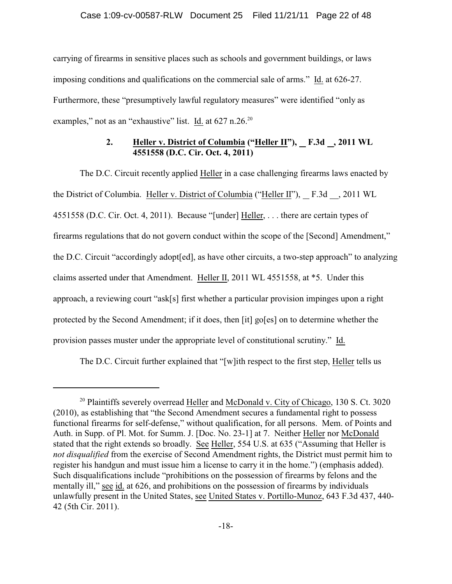carrying of firearms in sensitive places such as schools and government buildings, or laws imposing conditions and qualifications on the commercial sale of arms." Id. at 626-27. Furthermore, these "presumptively lawful regulatory measures" were identified "only as examples," not as an "exhaustive" list. Id. at 627 n.26.<sup>20</sup>

# **2. Heller v. District of Columbia ("Heller II"), F.3d , 2011 WL 4551558 (D.C. Cir. Oct. 4, 2011)**

The D.C. Circuit recently applied Heller in a case challenging firearms laws enacted by the District of Columbia. Heller v. District of Columbia ("Heller II"), F.3d , 2011 WL 4551558 (D.C. Cir. Oct. 4, 2011). Because "[under] Heller, . . . there are certain types of firearms regulations that do not govern conduct within the scope of the [Second] Amendment," the D.C. Circuit "accordingly adopt[ed], as have other circuits, a two-step approach" to analyzing claims asserted under that Amendment. Heller II, 2011 WL 4551558, at \*5. Under this approach, a reviewing court "ask[s] first whether a particular provision impinges upon a right protected by the Second Amendment; if it does, then [it] go[es] on to determine whether the provision passes muster under the appropriate level of constitutional scrutiny." Id.

The D.C. Circuit further explained that "[w]ith respect to the first step, Heller tells us

 $20$  Plaintiffs severely overread Heller and McDonald v. City of Chicago, 130 S. Ct. 3020 (2010), as establishing that "the Second Amendment secures a fundamental right to possess functional firearms for self-defense," without qualification, for all persons. Mem. of Points and Auth. in Supp. of Pl. Mot. for Summ. J. [Doc. No. 23-1] at 7. Neither Heller nor McDonald stated that the right extends so broadly. See Heller, 554 U.S. at 635 ("Assuming that Heller is *not disqualified* from the exercise of Second Amendment rights, the District must permit him to register his handgun and must issue him a license to carry it in the home.") (emphasis added). Such disqualifications include "prohibitions on the possession of firearms by felons and the mentally ill," see id. at 626, and prohibitions on the possession of firearms by individuals unlawfully present in the United States, see United States v. Portillo-Munoz, 643 F.3d 437, 440- 42 (5th Cir. 2011).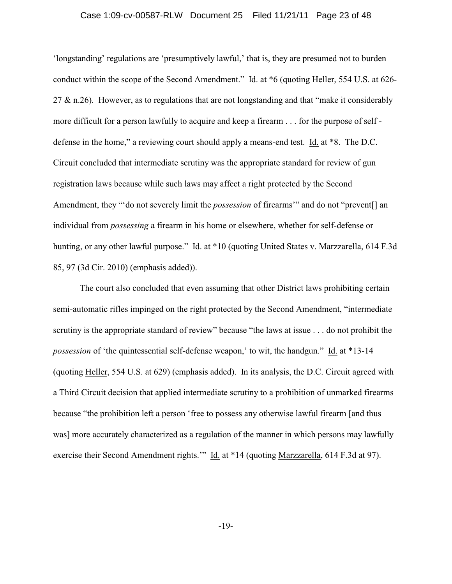### Case 1:09-cv-00587-RLW Document 25 Filed 11/21/11 Page 23 of 48

'longstanding' regulations are 'presumptively lawful,' that is, they are presumed not to burden conduct within the scope of the Second Amendment." Id. at \*6 (quoting Heller, 554 U.S. at 626- 27  $\&$  n.26). However, as to regulations that are not longstanding and that "make it considerably more difficult for a person lawfully to acquire and keep a firearm . . . for the purpose of self defense in the home," a reviewing court should apply a means-end test. Id. at \*8. The D.C. Circuit concluded that intermediate scrutiny was the appropriate standard for review of gun registration laws because while such laws may affect a right protected by the Second Amendment, they "'do not severely limit the *possession* of firearms'" and do not "prevent[] an individual from *possessing* a firearm in his home or elsewhere, whether for self-defense or hunting, or any other lawful purpose." Id. at \*10 (quoting United States v. Marzzarella, 614 F.3d 85, 97 (3d Cir. 2010) (emphasis added)).

The court also concluded that even assuming that other District laws prohibiting certain semi-automatic rifles impinged on the right protected by the Second Amendment, "intermediate scrutiny is the appropriate standard of review" because "the laws at issue . . . do not prohibit the *possession* of 'the quintessential self-defense weapon,' to wit, the handgun." Id. at \*13-14 (quoting Heller, 554 U.S. at 629) (emphasis added). In its analysis, the D.C. Circuit agreed with a Third Circuit decision that applied intermediate scrutiny to a prohibition of unmarked firearms because "the prohibition left a person 'free to possess any otherwise lawful firearm [and thus was] more accurately characterized as a regulation of the manner in which persons may lawfully exercise their Second Amendment rights.'" Id. at \*14 (quoting Marzzarella, 614 F.3d at 97).

-19-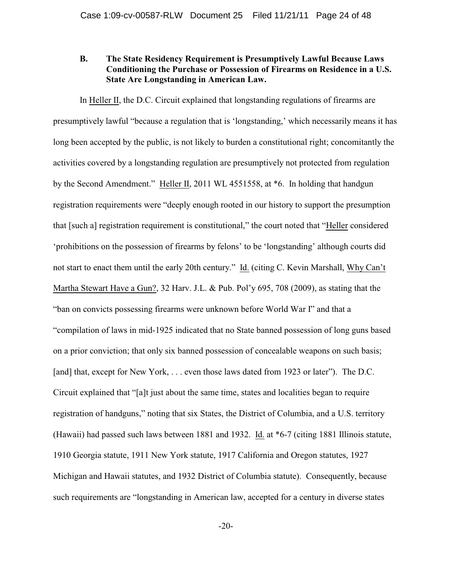# **B. The State Residency Requirement is Presumptively Lawful Because Laws Conditioning the Purchase or Possession of Firearms on Residence in a U.S. State Are Longstanding in American Law.**

In Heller II, the D.C. Circuit explained that longstanding regulations of firearms are presumptively lawful "because a regulation that is 'longstanding,' which necessarily means it has long been accepted by the public, is not likely to burden a constitutional right; concomitantly the activities covered by a longstanding regulation are presumptively not protected from regulation by the Second Amendment." Heller II, 2011 WL 4551558, at \*6. In holding that handgun registration requirements were "deeply enough rooted in our history to support the presumption that [such a] registration requirement is constitutional," the court noted that "Heller considered 'prohibitions on the possession of firearms by felons' to be 'longstanding' although courts did not start to enact them until the early 20th century." Id. (citing C. Kevin Marshall, Why Can't Martha Stewart Have a Gun?, 32 Harv. J.L. & Pub. Pol'y 695, 708 (2009), as stating that the "ban on convicts possessing firearms were unknown before World War I" and that a "compilation of laws in mid-1925 indicated that no State banned possession of long guns based on a prior conviction; that only six banned possession of concealable weapons on such basis; [and] that, except for New York, ... even those laws dated from 1923 or later"). The D.C. Circuit explained that "[a]t just about the same time, states and localities began to require registration of handguns," noting that six States, the District of Columbia, and a U.S. territory (Hawaii) had passed such laws between 1881 and 1932. Id. at \*6-7 (citing 1881 Illinois statute, 1910 Georgia statute, 1911 New York statute, 1917 California and Oregon statutes, 1927 Michigan and Hawaii statutes, and 1932 District of Columbia statute). Consequently, because such requirements are "longstanding in American law, accepted for a century in diverse states

-20-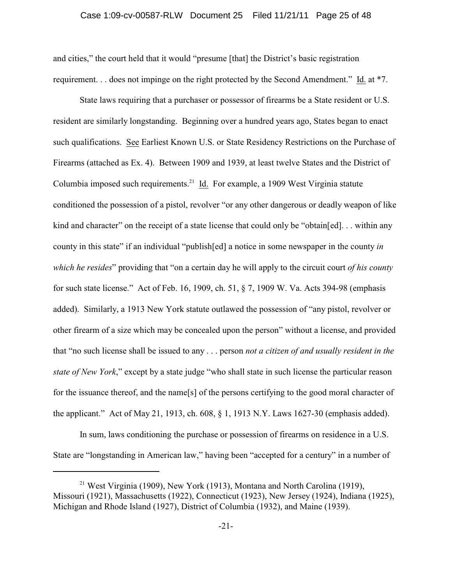### Case 1:09-cv-00587-RLW Document 25 Filed 11/21/11 Page 25 of 48

and cities," the court held that it would "presume [that] the District's basic registration requirement. . . does not impinge on the right protected by the Second Amendment." Id. at \*7.

State laws requiring that a purchaser or possessor of firearms be a State resident or U.S. resident are similarly longstanding. Beginning over a hundred years ago, States began to enact such qualifications. See Earliest Known U.S. or State Residency Restrictions on the Purchase of Firearms (attached as Ex. 4). Between 1909 and 1939, at least twelve States and the District of Columbia imposed such requirements.<sup>21</sup> Id. For example, a 1909 West Virginia statute conditioned the possession of a pistol, revolver "or any other dangerous or deadly weapon of like kind and character" on the receipt of a state license that could only be "obtain[ed]... within any county in this state" if an individual "publish[ed] a notice in some newspaper in the county *in which he resides*" providing that "on a certain day he will apply to the circuit court *of his county* for such state license." Act of Feb. 16, 1909, ch. 51, § 7, 1909 W. Va. Acts 394-98 (emphasis added). Similarly, a 1913 New York statute outlawed the possession of "any pistol, revolver or other firearm of a size which may be concealed upon the person" without a license, and provided that "no such license shall be issued to any . . . person *not a citizen of and usually resident in the state of New York*," except by a state judge "who shall state in such license the particular reason for the issuance thereof, and the name[s] of the persons certifying to the good moral character of the applicant." Act of May 21, 1913, ch. 608, § 1, 1913 N.Y. Laws 1627-30 (emphasis added).

In sum, laws conditioning the purchase or possession of firearms on residence in a U.S. State are "longstanding in American law," having been "accepted for a century" in a number of

<sup>&</sup>lt;sup>21</sup> West Virginia (1909), New York (1913), Montana and North Carolina (1919), Missouri (1921), Massachusetts (1922), Connecticut (1923), New Jersey (1924), Indiana (1925), Michigan and Rhode Island (1927), District of Columbia (1932), and Maine (1939).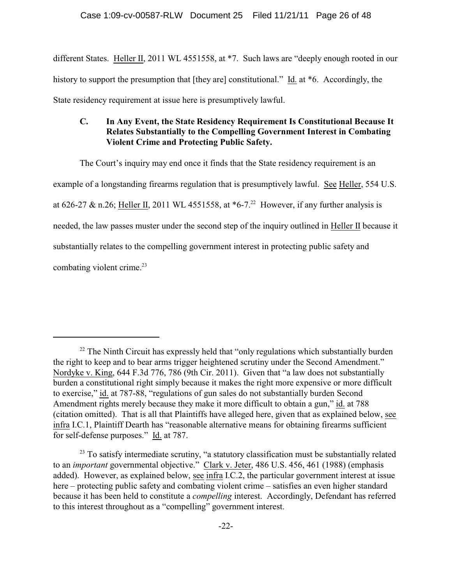different States. Heller II, 2011 WL 4551558, at \*7. Such laws are "deeply enough rooted in our history to support the presumption that [they are] constitutional." Id. at  $*6$ . Accordingly, the State residency requirement at issue here is presumptively lawful.

# **C. In Any Event, the State Residency Requirement Is Constitutional Because It Relates Substantially to the Compelling Government Interest in Combating Violent Crime and Protecting Public Safety.**

The Court's inquiry may end once it finds that the State residency requirement is an example of a longstanding firearms regulation that is presumptively lawful. See Heller, 554 U.S. at 626-27 & n.26; Heller II, 2011 WL 4551558, at  $*6$ -7.<sup>22</sup> However, if any further analysis is needed, the law passes muster under the second step of the inquiry outlined in Heller II because it substantially relates to the compelling government interest in protecting public safety and combating violent crime.<sup>23</sup>

 $22$  The Ninth Circuit has expressly held that "only regulations which substantially burden the right to keep and to bear arms trigger heightened scrutiny under the Second Amendment." Nordyke v. King, 644 F.3d 776, 786 (9th Cir. 2011). Given that "a law does not substantially burden a constitutional right simply because it makes the right more expensive or more difficult to exercise," id. at 787-88, "regulations of gun sales do not substantially burden Second Amendment rights merely because they make it more difficult to obtain a gun," id. at 788 (citation omitted). That is all that Plaintiffs have alleged here, given that as explained below, see infra I.C.1, Plaintiff Dearth has "reasonable alternative means for obtaining firearms sufficient for self-defense purposes." Id. at 787.

 $23$  To satisfy intermediate scrutiny, "a statutory classification must be substantially related to an *important* governmental objective." Clark v. Jeter, 486 U.S. 456, 461 (1988) (emphasis added). However, as explained below, see infra I.C.2, the particular government interest at issue here – protecting public safety and combating violent crime – satisfies an even higher standard because it has been held to constitute a *compelling* interest. Accordingly, Defendant has referred to this interest throughout as a "compelling" government interest.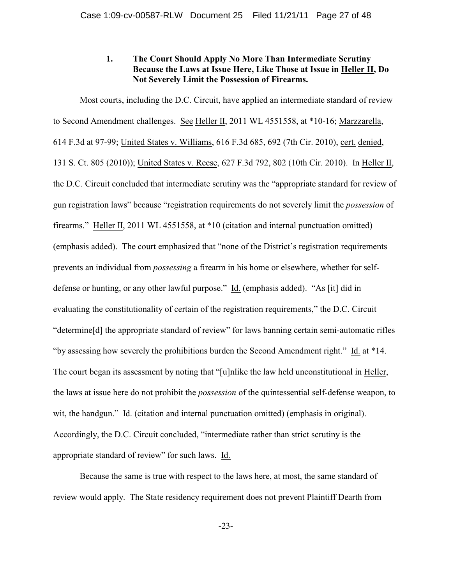# **1. The Court Should Apply No More Than Intermediate Scrutiny Because the Laws at Issue Here, Like Those at Issue in Heller II, Do Not Severely Limit the Possession of Firearms.**

Most courts, including the D.C. Circuit, have applied an intermediate standard of review to Second Amendment challenges. See Heller II, 2011 WL 4551558, at \*10-16; Marzzarella, 614 F.3d at 97-99; United States v. Williams, 616 F.3d 685, 692 (7th Cir. 2010), cert. denied, 131 S. Ct. 805 (2010)); United States v. Reese, 627 F.3d 792, 802 (10th Cir. 2010). In Heller II, the D.C. Circuit concluded that intermediate scrutiny was the "appropriate standard for review of gun registration laws" because "registration requirements do not severely limit the *possession* of firearms." Heller II, 2011 WL 4551558, at \*10 (citation and internal punctuation omitted) (emphasis added). The court emphasized that "none of the District's registration requirements prevents an individual from *possessing* a firearm in his home or elsewhere, whether for selfdefense or hunting, or any other lawful purpose." Id. (emphasis added). "As [it] did in evaluating the constitutionality of certain of the registration requirements," the D.C. Circuit "determine[d] the appropriate standard of review" for laws banning certain semi-automatic rifles "by assessing how severely the prohibitions burden the Second Amendment right." Id. at \*14. The court began its assessment by noting that "[u]nlike the law held unconstitutional in Heller, the laws at issue here do not prohibit the *possession* of the quintessential self-defense weapon, to wit, the handgun." Id. (citation and internal punctuation omitted) (emphasis in original). Accordingly, the D.C. Circuit concluded, "intermediate rather than strict scrutiny is the appropriate standard of review" for such laws. Id.

Because the same is true with respect to the laws here, at most, the same standard of review would apply. The State residency requirement does not prevent Plaintiff Dearth from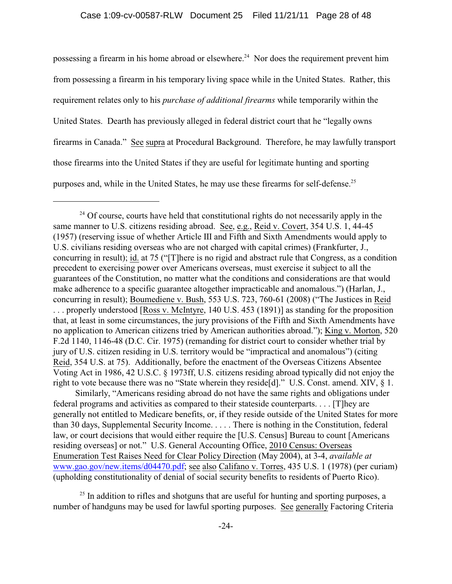possessing a firearm in his home abroad or elsewhere.<sup>24</sup> Nor does the requirement prevent him from possessing a firearm in his temporary living space while in the United States. Rather, this requirement relates only to his *purchase of additional firearms* while temporarily within the United States. Dearth has previously alleged in federal district court that he "legally owns firearms in Canada." See supra at Procedural Background. Therefore, he may lawfully transport those firearms into the United States if they are useful for legitimate hunting and sporting purposes and, while in the United States, he may use these firearms for self-defense.<sup>25</sup>

 Similarly, "Americans residing abroad do not have the same rights and obligations under federal programs and activities as compared to their stateside counterparts. . . . [T]hey are generally not entitled to Medicare benefits, or, if they reside outside of the United States for more than 30 days, Supplemental Security Income. . . . . There is nothing in the Constitution, federal law, or court decisions that would either require the [U.S. Census] Bureau to count [Americans residing overseas] or not." U.S. General Accounting Office, 2010 Census: Overseas Enumeration Test Raises Need for Clear Policy Direction (May 2004), at 3-4, *available at* www.gao.gov/new.items/d04470.pdf; see also Califano v. Torres, 435 U.S. 1 (1978) (per curiam) (upholding constitutionality of denial of social security benefits to residents of Puerto Rico).

 $^{25}$  In addition to rifles and shotguns that are useful for hunting and sporting purposes, a number of handguns may be used for lawful sporting purposes. See generally Factoring Criteria

 $^{24}$  Of course, courts have held that constitutional rights do not necessarily apply in the same manner to U.S. citizens residing abroad. See, e.g., Reid v. Covert, 354 U.S. 1, 44-45 (1957) (reserving issue of whether Article III and Fifth and Sixth Amendments would apply to U.S. civilians residing overseas who are not charged with capital crimes) (Frankfurter, J., concurring in result); id. at 75 ("[T]here is no rigid and abstract rule that Congress, as a condition precedent to exercising power over Americans overseas, must exercise it subject to all the guarantees of the Constitution, no matter what the conditions and considerations are that would make adherence to a specific guarantee altogether impracticable and anomalous.") (Harlan, J., concurring in result); Boumediene v. Bush, 553 U.S. 723, 760-61 (2008) ("The Justices in Reid . . . properly understood [Ross v. McIntyre, 140 U.S. 453 (1891)] as standing for the proposition that, at least in some circumstances, the jury provisions of the Fifth and Sixth Amendments have no application to American citizens tried by American authorities abroad."); King v. Morton, 520 F.2d 1140, 1146-48 (D.C. Cir. 1975) (remanding for district court to consider whether trial by jury of U.S. citizen residing in U.S. territory would be "impractical and anomalous") (citing Reid, 354 U.S. at 75). Additionally, before the enactment of the Overseas Citizens Absentee Voting Act in 1986, 42 U.S.C. § 1973ff, U.S. citizens residing abroad typically did not enjoy the right to vote because there was no "State wherein they reside [d]." U.S. Const. amend. XIV,  $\S$  1.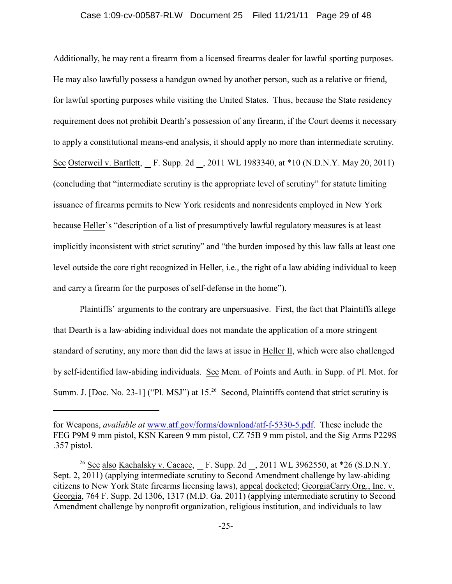#### Case 1:09-cv-00587-RLW Document 25 Filed 11/21/11 Page 29 of 48

Additionally, he may rent a firearm from a licensed firearms dealer for lawful sporting purposes. He may also lawfully possess a handgun owned by another person, such as a relative or friend, for lawful sporting purposes while visiting the United States. Thus, because the State residency requirement does not prohibit Dearth's possession of any firearm, if the Court deems it necessary to apply a constitutional means-end analysis, it should apply no more than intermediate scrutiny. See Osterweil v. Bartlett, F. Supp. 2d , 2011 WL 1983340, at \*10 (N.D.N.Y. May 20, 2011) (concluding that "intermediate scrutiny is the appropriate level of scrutiny" for statute limiting issuance of firearms permits to New York residents and nonresidents employed in New York because Heller's "description of a list of presumptively lawful regulatory measures is at least implicitly inconsistent with strict scrutiny" and "the burden imposed by this law falls at least one level outside the core right recognized in Heller, i.e., the right of a law abiding individual to keep and carry a firearm for the purposes of self-defense in the home").

Plaintiffs' arguments to the contrary are unpersuasive. First, the fact that Plaintiffs allege that Dearth is a law-abiding individual does not mandate the application of a more stringent standard of scrutiny, any more than did the laws at issue in Heller II, which were also challenged by self-identified law-abiding individuals. See Mem. of Points and Auth. in Supp. of Pl. Mot. for Summ. J. [Doc. No. 23-1] ("Pl. MSJ") at 15.<sup>26</sup> Second, Plaintiffs contend that strict scrutiny is

for Weapons, *available at* www.atf.gov/forms/download/atf-f-5330-5.pdf. These include the FEG P9M 9 mm pistol, KSN Kareen 9 mm pistol, CZ 75B 9 mm pistol, and the Sig Arms P229S .357 pistol.

<sup>&</sup>lt;sup>26</sup> See also Kachalsky v. Cacace, F. Supp. 2d , 2011 WL 3962550, at  $*26$  (S.D.N.Y. Sept. 2, 2011) (applying intermediate scrutiny to Second Amendment challenge by law-abiding citizens to New York State firearms licensing laws), appeal docketed; GeorgiaCarry.Org., Inc. v. Georgia, 764 F. Supp. 2d 1306, 1317 (M.D. Ga. 2011) (applying intermediate scrutiny to Second Amendment challenge by nonprofit organization, religious institution, and individuals to law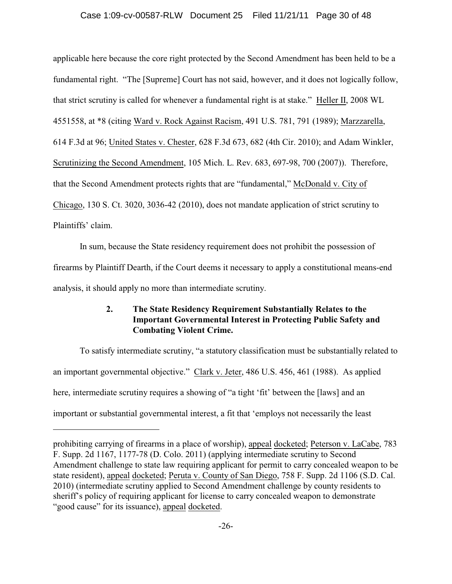### Case 1:09-cv-00587-RLW Document 25 Filed 11/21/11 Page 30 of 48

applicable here because the core right protected by the Second Amendment has been held to be a fundamental right. "The [Supreme] Court has not said, however, and it does not logically follow, that strict scrutiny is called for whenever a fundamental right is at stake." Heller II, 2008 WL 4551558, at \*8 (citing Ward v. Rock Against Racism, 491 U.S. 781, 791 (1989); Marzzarella, 614 F.3d at 96; United States v. Chester, 628 F.3d 673, 682 (4th Cir. 2010); and Adam Winkler, Scrutinizing the Second Amendment, 105 Mich. L. Rev. 683, 697-98, 700 (2007)). Therefore, that the Second Amendment protects rights that are "fundamental," McDonald v. City of Chicago, 130 S. Ct. 3020, 3036-42 (2010), does not mandate application of strict scrutiny to Plaintiffs' claim.

In sum, because the State residency requirement does not prohibit the possession of firearms by Plaintiff Dearth, if the Court deems it necessary to apply a constitutional means-end analysis, it should apply no more than intermediate scrutiny.

# **2. The State Residency Requirement Substantially Relates to the Important Governmental Interest in Protecting Public Safety and Combating Violent Crime.**

To satisfy intermediate scrutiny, "a statutory classification must be substantially related to an important governmental objective." Clark v. Jeter, 486 U.S. 456, 461 (1988). As applied here, intermediate scrutiny requires a showing of "a tight 'fit' between the [laws] and an important or substantial governmental interest, a fit that 'employs not necessarily the least

prohibiting carrying of firearms in a place of worship), appeal docketed; Peterson v. LaCabe, 783 F. Supp. 2d 1167, 1177-78 (D. Colo. 2011) (applying intermediate scrutiny to Second Amendment challenge to state law requiring applicant for permit to carry concealed weapon to be state resident), appeal docketed; Peruta v. County of San Diego, 758 F. Supp. 2d 1106 (S.D. Cal. 2010) (intermediate scrutiny applied to Second Amendment challenge by county residents to sheriff's policy of requiring applicant for license to carry concealed weapon to demonstrate "good cause" for its issuance), appeal docketed.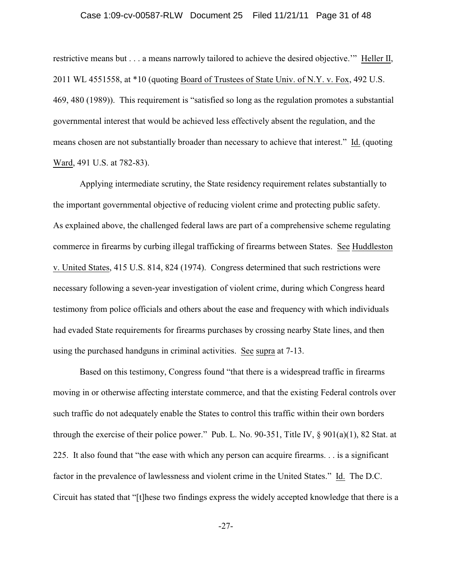### Case 1:09-cv-00587-RLW Document 25 Filed 11/21/11 Page 31 of 48

restrictive means but . . . a means narrowly tailored to achieve the desired objective.'" Heller II, 2011 WL 4551558, at \*10 (quoting Board of Trustees of State Univ. of N.Y. v. Fox, 492 U.S. 469, 480 (1989)). This requirement is "satisfied so long as the regulation promotes a substantial governmental interest that would be achieved less effectively absent the regulation, and the means chosen are not substantially broader than necessary to achieve that interest." Id. (quoting Ward, 491 U.S. at 782-83).

Applying intermediate scrutiny, the State residency requirement relates substantially to the important governmental objective of reducing violent crime and protecting public safety. As explained above, the challenged federal laws are part of a comprehensive scheme regulating commerce in firearms by curbing illegal trafficking of firearms between States. See Huddleston v. United States, 415 U.S. 814, 824 (1974). Congress determined that such restrictions were necessary following a seven-year investigation of violent crime, during which Congress heard testimony from police officials and others about the ease and frequency with which individuals had evaded State requirements for firearms purchases by crossing nearby State lines, and then using the purchased handguns in criminal activities. See supra at 7-13.

Based on this testimony, Congress found "that there is a widespread traffic in firearms moving in or otherwise affecting interstate commerce, and that the existing Federal controls over such traffic do not adequately enable the States to control this traffic within their own borders through the exercise of their police power." Pub. L. No. 90-351, Title IV, § 901(a)(1), 82 Stat. at 225. It also found that "the ease with which any person can acquire firearms. . . is a significant factor in the prevalence of lawlessness and violent crime in the United States." Id. The D.C. Circuit has stated that "[t]hese two findings express the widely accepted knowledge that there is a

-27-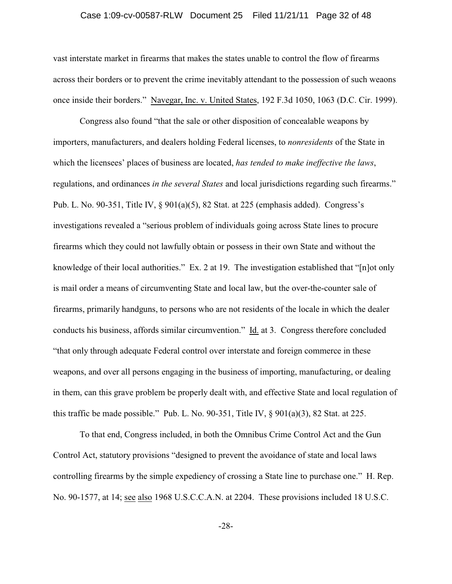### Case 1:09-cv-00587-RLW Document 25 Filed 11/21/11 Page 32 of 48

vast interstate market in firearms that makes the states unable to control the flow of firearms across their borders or to prevent the crime inevitably attendant to the possession of such weaons once inside their borders." Navegar, Inc. v. United States, 192 F.3d 1050, 1063 (D.C. Cir. 1999).

Congress also found "that the sale or other disposition of concealable weapons by importers, manufacturers, and dealers holding Federal licenses, to *nonresidents* of the State in which the licensees' places of business are located, *has tended to make ineffective the laws*, regulations, and ordinances *in the several States* and local jurisdictions regarding such firearms." Pub. L. No. 90-351, Title IV, § 901(a)(5), 82 Stat. at 225 (emphasis added). Congress's investigations revealed a "serious problem of individuals going across State lines to procure firearms which they could not lawfully obtain or possess in their own State and without the knowledge of their local authorities." Ex. 2 at 19. The investigation established that "[n]ot only is mail order a means of circumventing State and local law, but the over-the-counter sale of firearms, primarily handguns, to persons who are not residents of the locale in which the dealer conducts his business, affords similar circumvention." Id. at 3. Congress therefore concluded "that only through adequate Federal control over interstate and foreign commerce in these weapons, and over all persons engaging in the business of importing, manufacturing, or dealing in them, can this grave problem be properly dealt with, and effective State and local regulation of this traffic be made possible." Pub. L. No. 90-351, Title IV,  $\S$  901(a)(3), 82 Stat. at 225.

To that end, Congress included, in both the Omnibus Crime Control Act and the Gun Control Act, statutory provisions "designed to prevent the avoidance of state and local laws controlling firearms by the simple expediency of crossing a State line to purchase one." H. Rep. No. 90-1577, at 14; see also 1968 U.S.C.C.A.N. at 2204. These provisions included 18 U.S.C.

-28-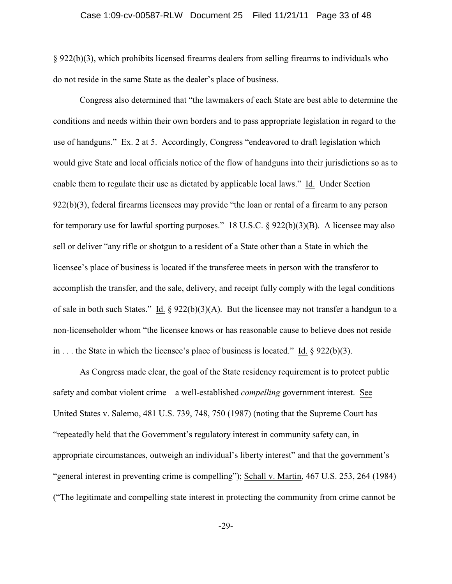§ 922(b)(3), which prohibits licensed firearms dealers from selling firearms to individuals who do not reside in the same State as the dealer's place of business.

Congress also determined that "the lawmakers of each State are best able to determine the conditions and needs within their own borders and to pass appropriate legislation in regard to the use of handguns." Ex. 2 at 5. Accordingly, Congress "endeavored to draft legislation which would give State and local officials notice of the flow of handguns into their jurisdictions so as to enable them to regulate their use as dictated by applicable local laws." Id. Under Section 922(b)(3), federal firearms licensees may provide "the loan or rental of a firearm to any person for temporary use for lawful sporting purposes." 18 U.S.C. § 922(b)(3)(B). A licensee may also sell or deliver "any rifle or shotgun to a resident of a State other than a State in which the licensee's place of business is located if the transferee meets in person with the transferor to accomplish the transfer, and the sale, delivery, and receipt fully comply with the legal conditions of sale in both such States." Id.  $\S 922(b)(3)(A)$ . But the licensee may not transfer a handgun to a non-licenseholder whom "the licensee knows or has reasonable cause to believe does not reside in . . . the State in which the licensee's place of business is located." Id. § 922(b)(3).

As Congress made clear, the goal of the State residency requirement is to protect public safety and combat violent crime – a well-established *compelling* government interest. See United States v. Salerno, 481 U.S. 739, 748, 750 (1987) (noting that the Supreme Court has "repeatedly held that the Government's regulatory interest in community safety can, in appropriate circumstances, outweigh an individual's liberty interest" and that the government's "general interest in preventing crime is compelling"); Schall v. Martin, 467 U.S. 253, 264 (1984) ("The legitimate and compelling state interest in protecting the community from crime cannot be

-29-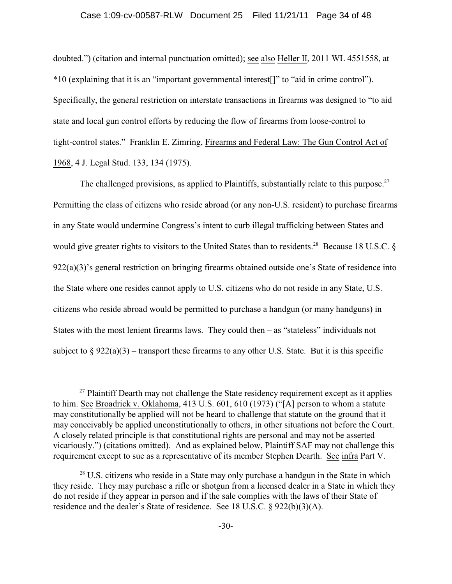#### Case 1:09-cv-00587-RLW Document 25 Filed 11/21/11 Page 34 of 48

doubted.") (citation and internal punctuation omitted); see also Heller II, 2011 WL 4551558, at \*10 (explaining that it is an "important governmental interest[]" to "aid in crime control"). Specifically, the general restriction on interstate transactions in firearms was designed to "to aid state and local gun control efforts by reducing the flow of firearms from loose-control to tight-control states." Franklin E. Zimring, Firearms and Federal Law: The Gun Control Act of 1968, 4 J. Legal Stud. 133, 134 (1975).

The challenged provisions, as applied to Plaintiffs, substantially relate to this purpose.<sup>27</sup> Permitting the class of citizens who reside abroad (or any non-U.S. resident) to purchase firearms in any State would undermine Congress's intent to curb illegal trafficking between States and would give greater rights to visitors to the United States than to residents.<sup>28</sup> Because 18 U.S.C.  $\delta$ 922(a)(3)'s general restriction on bringing firearms obtained outside one's State of residence into the State where one resides cannot apply to U.S. citizens who do not reside in any State, U.S. citizens who reside abroad would be permitted to purchase a handgun (or many handguns) in States with the most lenient firearms laws. They could then  $-$  as "stateless" individuals not subject to  $\S 922(a)(3)$  – transport these firearms to any other U.S. State. But it is this specific

 $27$  Plaintiff Dearth may not challenge the State residency requirement except as it applies to him. See Broadrick v. Oklahoma, 413 U.S. 601, 610 (1973) ("[A] person to whom a statute may constitutionally be applied will not be heard to challenge that statute on the ground that it may conceivably be applied unconstitutionally to others, in other situations not before the Court. A closely related principle is that constitutional rights are personal and may not be asserted vicariously.") (citations omitted). And as explained below, Plaintiff SAF may not challenge this requirement except to sue as a representative of its member Stephen Dearth. See infra Part V.

 $28$  U.S. citizens who reside in a State may only purchase a handgun in the State in which they reside. They may purchase a rifle or shotgun from a licensed dealer in a State in which they do not reside if they appear in person and if the sale complies with the laws of their State of residence and the dealer's State of residence. See 18 U.S.C. § 922(b)(3)(A).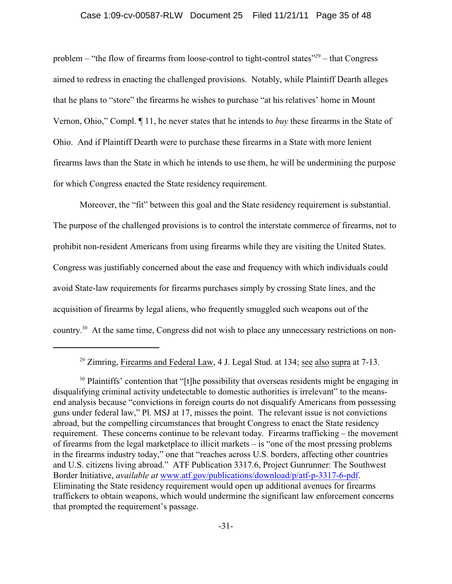#### Case 1:09-cv-00587-RLW Document 25 Filed 11/21/11 Page 35 of 48

problem – "the flow of firearms from loose-control to tight-control states"<sup>29</sup> – that Congress aimed to redress in enacting the challenged provisions. Notably, while Plaintiff Dearth alleges that he plans to "store" the firearms he wishes to purchase "at his relatives' home in Mount Vernon, Ohio," Compl. ¶ 11, he never states that he intends to *buy* these firearms in the State of Ohio. And if Plaintiff Dearth were to purchase these firearms in a State with more lenient firearms laws than the State in which he intends to use them, he will be undermining the purpose for which Congress enacted the State residency requirement.

Moreover, the "fit" between this goal and the State residency requirement is substantial. The purpose of the challenged provisions is to control the interstate commerce of firearms, not to prohibit non-resident Americans from using firearms while they are visiting the United States. Congress was justifiably concerned about the ease and frequency with which individuals could avoid State-law requirements for firearms purchases simply by crossing State lines, and the acquisition of firearms by legal aliens, who frequently smuggled such weapons out of the country.<sup>30</sup> At the same time, Congress did not wish to place any unnecessary restrictions on non-

<sup>&</sup>lt;sup>29</sup> Zimring, Firearms and Federal Law, 4 J. Legal Stud. at 134; <u>see also supra</u> at  $7-13$ .

<sup>&</sup>lt;sup>30</sup> Plaintiffs' contention that "[t]he possibility that overseas residents might be engaging in disqualifying criminal activity undetectable to domestic authorities is irrelevant" to the meansend analysis because "convictions in foreign courts do not disqualify Americans from possessing guns under federal law," Pl. MSJ at 17, misses the point. The relevant issue is not convictions abroad, but the compelling circumstances that brought Congress to enact the State residency requirement. These concerns continue to be relevant today. Firearms trafficking – the movement of firearms from the legal marketplace to illicit markets – is "one of the most pressing problems in the firearms industry today," one that "reaches across U.S. borders, affecting other countries and U.S. citizens living abroad." ATF Publication 3317.6, Project Gunrunner: The Southwest Border Initiative, *available at* www.atf.gov/publications/download/p/atf-p-3317-6-pdf. Eliminating the State residency requirement would open up additional avenues for firearms traffickers to obtain weapons, which would undermine the significant law enforcement concerns that prompted the requirement's passage.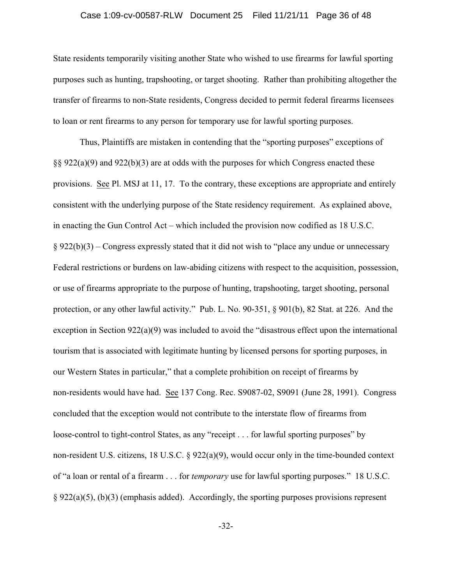### Case 1:09-cv-00587-RLW Document 25 Filed 11/21/11 Page 36 of 48

State residents temporarily visiting another State who wished to use firearms for lawful sporting purposes such as hunting, trapshooting, or target shooting. Rather than prohibiting altogether the transfer of firearms to non-State residents, Congress decided to permit federal firearms licensees to loan or rent firearms to any person for temporary use for lawful sporting purposes.

Thus, Plaintiffs are mistaken in contending that the "sporting purposes" exceptions of §§ 922(a)(9) and 922(b)(3) are at odds with the purposes for which Congress enacted these provisions. See Pl. MSJ at 11, 17. To the contrary, these exceptions are appropriate and entirely consistent with the underlying purpose of the State residency requirement. As explained above, in enacting the Gun Control Act – which included the provision now codified as 18 U.S.C.  $§ 922(b)(3)$  – Congress expressly stated that it did not wish to "place any undue or unnecessary Federal restrictions or burdens on law-abiding citizens with respect to the acquisition, possession, or use of firearms appropriate to the purpose of hunting, trapshooting, target shooting, personal protection, or any other lawful activity." Pub. L. No. 90-351, § 901(b), 82 Stat. at 226. And the exception in Section 922(a)(9) was included to avoid the "disastrous effect upon the international tourism that is associated with legitimate hunting by licensed persons for sporting purposes, in our Western States in particular," that a complete prohibition on receipt of firearms by non-residents would have had. See 137 Cong. Rec. S9087-02, S9091 (June 28, 1991). Congress concluded that the exception would not contribute to the interstate flow of firearms from loose-control to tight-control States, as any "receipt . . . for lawful sporting purposes" by non-resident U.S. citizens, 18 U.S.C. § 922(a)(9), would occur only in the time-bounded context of "a loan or rental of a firearm . . . for *temporary* use for lawful sporting purposes." 18 U.S.C.  $\S 922(a)(5)$ , (b)(3) (emphasis added). Accordingly, the sporting purposes provisions represent

-32-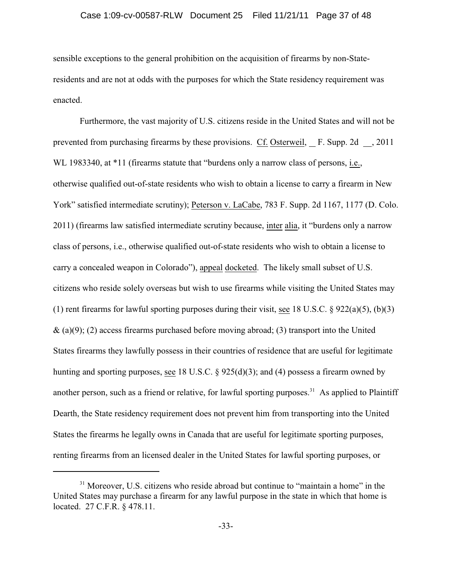### Case 1:09-cv-00587-RLW Document 25 Filed 11/21/11 Page 37 of 48

sensible exceptions to the general prohibition on the acquisition of firearms by non-Stateresidents and are not at odds with the purposes for which the State residency requirement was enacted.

Furthermore, the vast majority of U.S. citizens reside in the United States and will not be prevented from purchasing firearms by these provisions. Cf. Osterweil, F. Supp. 2d , 2011 WL 1983340, at \*11 (firearms statute that "burdens only a narrow class of persons, i.e., otherwise qualified out-of-state residents who wish to obtain a license to carry a firearm in New York" satisfied intermediate scrutiny); Peterson v. LaCabe, 783 F. Supp. 2d 1167, 1177 (D. Colo. 2011) (firearms law satisfied intermediate scrutiny because, inter alia, it "burdens only a narrow class of persons, i.e., otherwise qualified out-of-state residents who wish to obtain a license to carry a concealed weapon in Colorado"), appeal docketed. The likely small subset of U.S. citizens who reside solely overseas but wish to use firearms while visiting the United States may (1) rent firearms for lawful sporting purposes during their visit, see 18 U.S.C.  $\S 922(a)(5)$ , (b)(3)  $\&$  (a)(9); (2) access firearms purchased before moving abroad; (3) transport into the United States firearms they lawfully possess in their countries of residence that are useful for legitimate hunting and sporting purposes, see 18 U.S.C. § 925(d)(3); and (4) possess a firearm owned by another person, such as a friend or relative, for lawful sporting purposes.<sup>31</sup> As applied to Plaintiff Dearth, the State residency requirement does not prevent him from transporting into the United States the firearms he legally owns in Canada that are useful for legitimate sporting purposes, renting firearms from an licensed dealer in the United States for lawful sporting purposes, or

 $31$  Moreover, U.S. citizens who reside abroad but continue to "maintain a home" in the United States may purchase a firearm for any lawful purpose in the state in which that home is located. 27 C.F.R. § 478.11.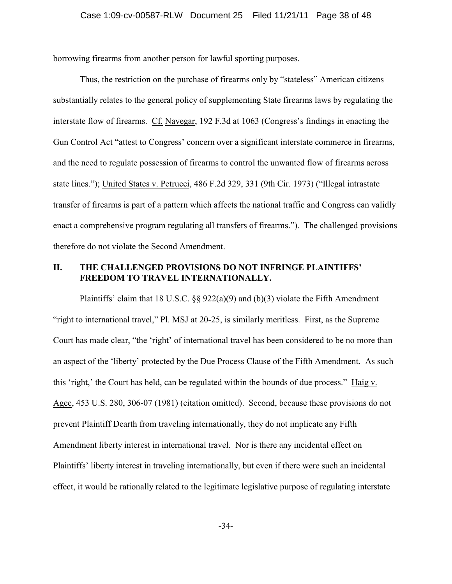borrowing firearms from another person for lawful sporting purposes.

Thus, the restriction on the purchase of firearms only by "stateless" American citizens substantially relates to the general policy of supplementing State firearms laws by regulating the interstate flow of firearms. Cf. Navegar, 192 F.3d at 1063 (Congress's findings in enacting the Gun Control Act "attest to Congress' concern over a significant interstate commerce in firearms, and the need to regulate possession of firearms to control the unwanted flow of firearms across state lines."); United States v. Petrucci, 486 F.2d 329, 331 (9th Cir. 1973) ("Illegal intrastate transfer of firearms is part of a pattern which affects the national traffic and Congress can validly enact a comprehensive program regulating all transfers of firearms."). The challenged provisions therefore do not violate the Second Amendment.

# **II. THE CHALLENGED PROVISIONS DO NOT INFRINGE PLAINTIFFS' FREEDOM TO TRAVEL INTERNATIONALLY.**

Plaintiffs' claim that 18 U.S.C.  $\S$ § 922(a)(9) and (b)(3) violate the Fifth Amendment "right to international travel," Pl. MSJ at 20-25, is similarly meritless. First, as the Supreme Court has made clear, "the 'right' of international travel has been considered to be no more than an aspect of the 'liberty' protected by the Due Process Clause of the Fifth Amendment. As such this 'right,' the Court has held, can be regulated within the bounds of due process." Haig v. Agee, 453 U.S. 280, 306-07 (1981) (citation omitted). Second, because these provisions do not prevent Plaintiff Dearth from traveling internationally, they do not implicate any Fifth Amendment liberty interest in international travel. Nor is there any incidental effect on Plaintiffs' liberty interest in traveling internationally, but even if there were such an incidental effect, it would be rationally related to the legitimate legislative purpose of regulating interstate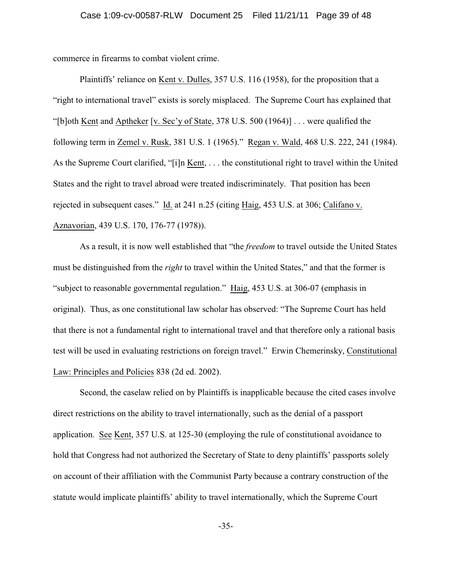commerce in firearms to combat violent crime.

Plaintiffs' reliance on Kent v. Dulles, 357 U.S. 116 (1958), for the proposition that a "right to international travel" exists is sorely misplaced. The Supreme Court has explained that "[b]oth <u>Kent</u> and Aptheker [v. Sec'y of State, 378 U.S. 500 (1964)] . . . were qualified the following term in Zemel v. Rusk, 381 U.S. 1 (1965)." Regan v. Wald, 468 U.S. 222, 241 (1984). As the Supreme Court clarified, "[i]n Kent, . . . the constitutional right to travel within the United States and the right to travel abroad were treated indiscriminately. That position has been rejected in subsequent cases." Id. at 241 n.25 (citing Haig, 453 U.S. at 306; Califano v. Aznavorian, 439 U.S. 170, 176-77 (1978)).

As a result, it is now well established that "the *freedom* to travel outside the United States must be distinguished from the *right* to travel within the United States," and that the former is "subject to reasonable governmental regulation." Haig, 453 U.S. at 306-07 (emphasis in original). Thus, as one constitutional law scholar has observed: "The Supreme Court has held that there is not a fundamental right to international travel and that therefore only a rational basis test will be used in evaluating restrictions on foreign travel." Erwin Chemerinsky, Constitutional Law: Principles and Policies 838 (2d ed. 2002).

Second, the caselaw relied on by Plaintiffs is inapplicable because the cited cases involve direct restrictions on the ability to travel internationally, such as the denial of a passport application. See Kent, 357 U.S. at 125-30 (employing the rule of constitutional avoidance to hold that Congress had not authorized the Secretary of State to deny plaintiffs' passports solely on account of their affiliation with the Communist Party because a contrary construction of the statute would implicate plaintiffs' ability to travel internationally, which the Supreme Court

-35-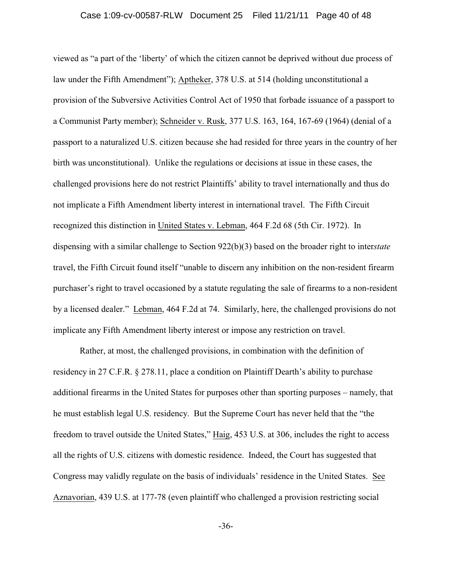### Case 1:09-cv-00587-RLW Document 25 Filed 11/21/11 Page 40 of 48

viewed as "a part of the 'liberty' of which the citizen cannot be deprived without due process of law under the Fifth Amendment"); Aptheker, 378 U.S. at 514 (holding unconstitutional a provision of the Subversive Activities Control Act of 1950 that forbade issuance of a passport to a Communist Party member); Schneider v. Rusk, 377 U.S. 163, 164, 167-69 (1964) (denial of a passport to a naturalized U.S. citizen because she had resided for three years in the country of her birth was unconstitutional). Unlike the regulations or decisions at issue in these cases, the challenged provisions here do not restrict Plaintiffs' ability to travel internationally and thus do not implicate a Fifth Amendment liberty interest in international travel. The Fifth Circuit recognized this distinction in United States v. Lebman, 464 F.2d 68 (5th Cir. 1972). In dispensing with a similar challenge to Section 922(b)(3) based on the broader right to inter*state* travel, the Fifth Circuit found itself "unable to discern any inhibition on the non-resident firearm purchaser's right to travel occasioned by a statute regulating the sale of firearms to a non-resident by a licensed dealer." Lebman, 464 F.2d at 74. Similarly, here, the challenged provisions do not implicate any Fifth Amendment liberty interest or impose any restriction on travel.

Rather, at most, the challenged provisions, in combination with the definition of residency in 27 C.F.R. § 278.11, place a condition on Plaintiff Dearth's ability to purchase additional firearms in the United States for purposes other than sporting purposes – namely, that he must establish legal U.S. residency. But the Supreme Court has never held that the "the freedom to travel outside the United States," Haig, 453 U.S. at 306, includes the right to access all the rights of U.S. citizens with domestic residence. Indeed, the Court has suggested that Congress may validly regulate on the basis of individuals' residence in the United States. See Aznavorian, 439 U.S. at 177-78 (even plaintiff who challenged a provision restricting social

-36-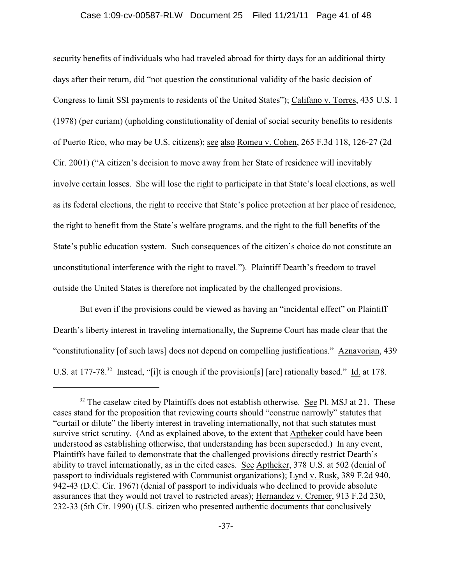# Case 1:09-cv-00587-RLW Document 25 Filed 11/21/11 Page 41 of 48

security benefits of individuals who had traveled abroad for thirty days for an additional thirty days after their return, did "not question the constitutional validity of the basic decision of Congress to limit SSI payments to residents of the United States"); Califano v. Torres, 435 U.S. 1 (1978) (per curiam) (upholding constitutionality of denial of social security benefits to residents of Puerto Rico, who may be U.S. citizens); see also Romeu v. Cohen, 265 F.3d 118, 126-27 (2d Cir. 2001) ("A citizen's decision to move away from her State of residence will inevitably involve certain losses. She will lose the right to participate in that State's local elections, as well as its federal elections, the right to receive that State's police protection at her place of residence, the right to benefit from the State's welfare programs, and the right to the full benefits of the State's public education system. Such consequences of the citizen's choice do not constitute an unconstitutional interference with the right to travel."). Plaintiff Dearth's freedom to travel outside the United States is therefore not implicated by the challenged provisions.

But even if the provisions could be viewed as having an "incidental effect" on Plaintiff Dearth's liberty interest in traveling internationally, the Supreme Court has made clear that the "constitutionality [of such laws] does not depend on compelling justifications." Aznavorian, 439 U.S. at 177-78.<sup>32</sup> Instead, "[i]t is enough if the provision[s] [are] rationally based." Id. at 178.

 $32$  The caselaw cited by Plaintiffs does not establish otherwise. See Pl. MSJ at 21. These cases stand for the proposition that reviewing courts should "construe narrowly" statutes that "curtail or dilute" the liberty interest in traveling internationally, not that such statutes must survive strict scrutiny. (And as explained above, to the extent that Aptheker could have been understood as establishing otherwise, that understanding has been superseded.) In any event, Plaintiffs have failed to demonstrate that the challenged provisions directly restrict Dearth's ability to travel internationally, as in the cited cases. See Aptheker, 378 U.S. at 502 (denial of passport to individuals registered with Communist organizations); Lynd v. Rusk, 389 F.2d 940, 942-43 (D.C. Cir. 1967) (denial of passport to individuals who declined to provide absolute assurances that they would not travel to restricted areas); Hernandez v. Cremer, 913 F.2d 230, 232-33 (5th Cir. 1990) (U.S. citizen who presented authentic documents that conclusively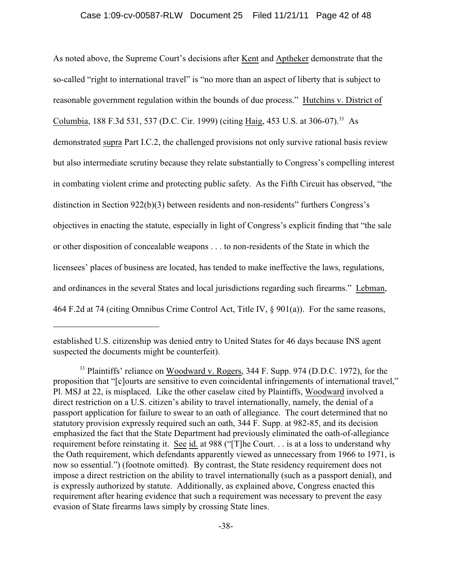As noted above, the Supreme Court's decisions after Kent and Aptheker demonstrate that the so-called "right to international travel" is "no more than an aspect of liberty that is subject to reasonable government regulation within the bounds of due process." Hutchins v. District of Columbia, 188 F.3d 531, 537 (D.C. Cir. 1999) (citing Haig, 453 U.S. at 306-07).<sup>33</sup> As demonstrated supra Part I.C.2, the challenged provisions not only survive rational basis review but also intermediate scrutiny because they relate substantially to Congress's compelling interest in combating violent crime and protecting public safety. As the Fifth Circuit has observed, "the distinction in Section 922(b)(3) between residents and non-residents" furthers Congress's objectives in enacting the statute, especially in light of Congress's explicit finding that "the sale or other disposition of concealable weapons . . . to non-residents of the State in which the licensees' places of business are located, has tended to make ineffective the laws, regulations, and ordinances in the several States and local jurisdictions regarding such firearms." Lebman, 464 F.2d at 74 (citing Omnibus Crime Control Act, Title IV, § 901(a)). For the same reasons,

established U.S. citizenship was denied entry to United States for 46 days because INS agent suspected the documents might be counterfeit).

<sup>&</sup>lt;sup>33</sup> Plaintiffs' reliance on Woodward v. Rogers, 344 F. Supp. 974 (D.D.C. 1972), for the proposition that "[c]ourts are sensitive to even coincidental infringements of international travel," Pl. MSJ at 22, is misplaced. Like the other caselaw cited by Plaintiffs, Woodward involved a direct restriction on a U.S. citizen's ability to travel internationally, namely, the denial of a passport application for failure to swear to an oath of allegiance. The court determined that no statutory provision expressly required such an oath, 344 F. Supp. at 982-85, and its decision emphasized the fact that the State Department had previously eliminated the oath-of-allegiance requirement before reinstating it. See id. at 988 ("[T]he Court. . . is at a loss to understand why the Oath requirement, which defendants apparently viewed as unnecessary from 1966 to 1971, is now so essential.") (footnote omitted). By contrast, the State residency requirement does not impose a direct restriction on the ability to travel internationally (such as a passport denial), and is expressly authorized by statute. Additionally, as explained above, Congress enacted this requirement after hearing evidence that such a requirement was necessary to prevent the easy evasion of State firearms laws simply by crossing State lines.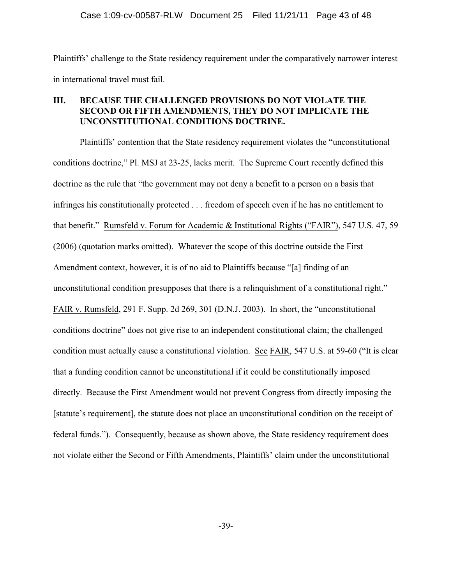Plaintiffs' challenge to the State residency requirement under the comparatively narrower interest in international travel must fail.

# **III. BECAUSE THE CHALLENGED PROVISIONS DO NOT VIOLATE THE SECOND OR FIFTH AMENDMENTS, THEY DO NOT IMPLICATE THE UNCONSTITUTIONAL CONDITIONS DOCTRINE.**

Plaintiffs' contention that the State residency requirement violates the "unconstitutional conditions doctrine," Pl. MSJ at 23-25, lacks merit. The Supreme Court recently defined this doctrine as the rule that "the government may not deny a benefit to a person on a basis that infringes his constitutionally protected . . . freedom of speech even if he has no entitlement to that benefit." Rumsfeld v. Forum for Academic & Institutional Rights ("FAIR"), 547 U.S. 47, 59 (2006) (quotation marks omitted). Whatever the scope of this doctrine outside the First Amendment context, however, it is of no aid to Plaintiffs because "[a] finding of an unconstitutional condition presupposes that there is a relinquishment of a constitutional right." FAIR v. Rumsfeld, 291 F. Supp. 2d 269, 301 (D.N.J. 2003). In short, the "unconstitutional conditions doctrine" does not give rise to an independent constitutional claim; the challenged condition must actually cause a constitutional violation. See FAIR, 547 U.S. at 59-60 ("It is clear that a funding condition cannot be unconstitutional if it could be constitutionally imposed directly. Because the First Amendment would not prevent Congress from directly imposing the [statute's requirement], the statute does not place an unconstitutional condition on the receipt of federal funds."). Consequently, because as shown above, the State residency requirement does not violate either the Second or Fifth Amendments, Plaintiffs' claim under the unconstitutional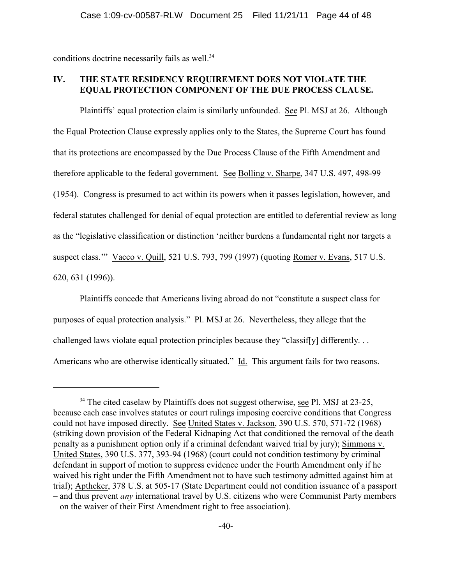conditions doctrine necessarily fails as well.<sup>34</sup>

# **IV. THE STATE RESIDENCY REQUIREMENT DOES NOT VIOLATE THE EQUAL PROTECTION COMPONENT OF THE DUE PROCESS CLAUSE.**

Plaintiffs' equal protection claim is similarly unfounded. See Pl. MSJ at 26. Although the Equal Protection Clause expressly applies only to the States, the Supreme Court has found that its protections are encompassed by the Due Process Clause of the Fifth Amendment and therefore applicable to the federal government. See Bolling v. Sharpe, 347 U.S. 497, 498-99 (1954). Congress is presumed to act within its powers when it passes legislation, however, and federal statutes challenged for denial of equal protection are entitled to deferential review as long as the "legislative classification or distinction 'neither burdens a fundamental right nor targets a suspect class.'" Vacco v. Quill, 521 U.S. 793, 799 (1997) (quoting Romer v. Evans, 517 U.S. 620, 631 (1996)).

Plaintiffs concede that Americans living abroad do not "constitute a suspect class for purposes of equal protection analysis." Pl. MSJ at 26. Nevertheless, they allege that the challenged laws violate equal protection principles because they "classif[y] differently. . . Americans who are otherwise identically situated." Id. This argument fails for two reasons.

 $34$  The cited caselaw by Plaintiffs does not suggest otherwise, see Pl. MSJ at 23-25, because each case involves statutes or court rulings imposing coercive conditions that Congress could not have imposed directly. See United States v. Jackson, 390 U.S. 570, 571-72 (1968) (striking down provision of the Federal Kidnaping Act that conditioned the removal of the death penalty as a punishment option only if a criminal defendant waived trial by jury); Simmons v. United States, 390 U.S. 377, 393-94 (1968) (court could not condition testimony by criminal defendant in support of motion to suppress evidence under the Fourth Amendment only if he waived his right under the Fifth Amendment not to have such testimony admitted against him at trial); Aptheker, 378 U.S. at 505-17 (State Department could not condition issuance of a passport – and thus prevent *any* international travel by U.S. citizens who were Communist Party members – on the waiver of their First Amendment right to free association).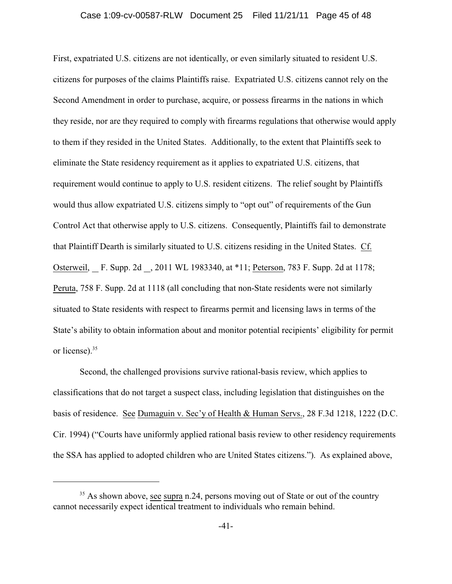### Case 1:09-cv-00587-RLW Document 25 Filed 11/21/11 Page 45 of 48

First, expatriated U.S. citizens are not identically, or even similarly situated to resident U.S. citizens for purposes of the claims Plaintiffs raise. Expatriated U.S. citizens cannot rely on the Second Amendment in order to purchase, acquire, or possess firearms in the nations in which they reside, nor are they required to comply with firearms regulations that otherwise would apply to them if they resided in the United States. Additionally, to the extent that Plaintiffs seek to eliminate the State residency requirement as it applies to expatriated U.S. citizens, that requirement would continue to apply to U.S. resident citizens. The relief sought by Plaintiffs would thus allow expatriated U.S. citizens simply to "opt out" of requirements of the Gun Control Act that otherwise apply to U.S. citizens. Consequently, Plaintiffs fail to demonstrate that Plaintiff Dearth is similarly situated to U.S. citizens residing in the United States. Cf. Osterweil, F. Supp. 2d , 2011 WL 1983340, at \*11; Peterson, 783 F. Supp. 2d at 1178; Peruta, 758 F. Supp. 2d at 1118 (all concluding that non-State residents were not similarly situated to State residents with respect to firearms permit and licensing laws in terms of the State's ability to obtain information about and monitor potential recipients' eligibility for permit or license).<sup>35</sup>

Second, the challenged provisions survive rational-basis review, which applies to classifications that do not target a suspect class, including legislation that distinguishes on the basis of residence. See Dumaguin v. Sec'y of Health & Human Servs., 28 F.3d 1218, 1222 (D.C. Cir. 1994) ("Courts have uniformly applied rational basis review to other residency requirements the SSA has applied to adopted children who are United States citizens."). As explained above,

 $35$  As shown above, see supra n.24, persons moving out of State or out of the country cannot necessarily expect identical treatment to individuals who remain behind.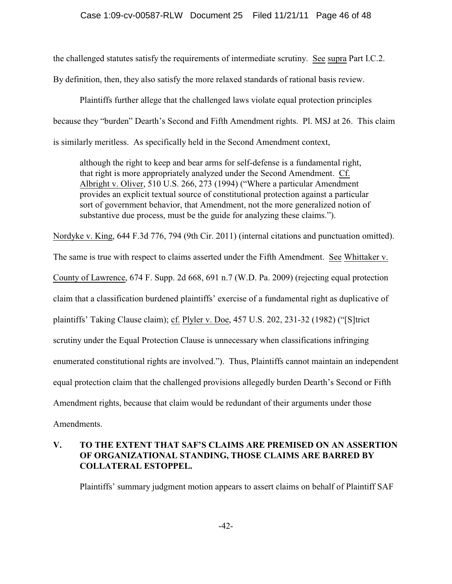the challenged statutes satisfy the requirements of intermediate scrutiny. See supra Part I.C.2. By definition, then, they also satisfy the more relaxed standards of rational basis review.

Plaintiffs further allege that the challenged laws violate equal protection principles because they "burden" Dearth's Second and Fifth Amendment rights. Pl. MSJ at 26. This claim is similarly meritless. As specifically held in the Second Amendment context,

although the right to keep and bear arms for self-defense is a fundamental right, that right is more appropriately analyzed under the Second Amendment. Cf. Albright v. Oliver, 510 U.S. 266, 273 (1994) ("Where a particular Amendment provides an explicit textual source of constitutional protection against a particular sort of government behavior, that Amendment, not the more generalized notion of substantive due process, must be the guide for analyzing these claims.").

Nordyke v. King, 644 F.3d 776, 794 (9th Cir. 2011) (internal citations and punctuation omitted).

The same is true with respect to claims asserted under the Fifth Amendment. See Whittaker v. County of Lawrence, 674 F. Supp. 2d 668, 691 n.7 (W.D. Pa. 2009) (rejecting equal protection claim that a classification burdened plaintiffs' exercise of a fundamental right as duplicative of plaintiffs' Taking Clause claim); cf. Plyler v. Doe, 457 U.S. 202, 231-32 (1982) ("[S]trict scrutiny under the Equal Protection Clause is unnecessary when classifications infringing enumerated constitutional rights are involved."). Thus, Plaintiffs cannot maintain an independent equal protection claim that the challenged provisions allegedly burden Dearth's Second or Fifth Amendment rights, because that claim would be redundant of their arguments under those Amendments.

# **V. TO THE EXTENT THAT SAF'S CLAIMS ARE PREMISED ON AN ASSERTION OF ORGANIZATIONAL STANDING, THOSE CLAIMS ARE BARRED BY COLLATERAL ESTOPPEL.**

Plaintiffs' summary judgment motion appears to assert claims on behalf of Plaintiff SAF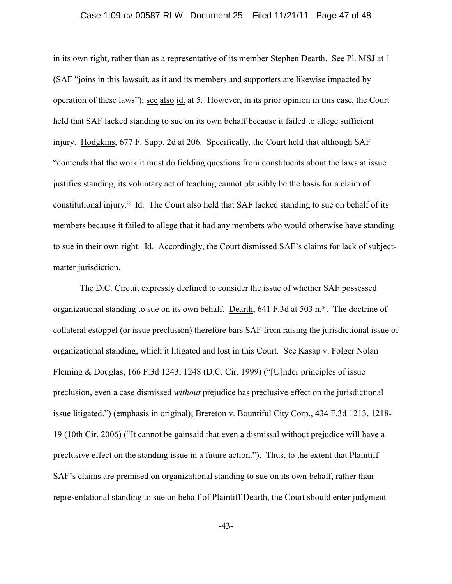### Case 1:09-cv-00587-RLW Document 25 Filed 11/21/11 Page 47 of 48

in its own right, rather than as a representative of its member Stephen Dearth. See Pl. MSJ at 1 (SAF "joins in this lawsuit, as it and its members and supporters are likewise impacted by operation of these laws"); see also id. at 5. However, in its prior opinion in this case, the Court held that SAF lacked standing to sue on its own behalf because it failed to allege sufficient injury. Hodgkins, 677 F. Supp. 2d at 206. Specifically, the Court held that although SAF "contends that the work it must do fielding questions from constituents about the laws at issue justifies standing, its voluntary act of teaching cannot plausibly be the basis for a claim of constitutional injury." Id. The Court also held that SAF lacked standing to sue on behalf of its members because it failed to allege that it had any members who would otherwise have standing to sue in their own right. Id. Accordingly, the Court dismissed SAF's claims for lack of subjectmatter jurisdiction.

The D.C. Circuit expressly declined to consider the issue of whether SAF possessed organizational standing to sue on its own behalf. Dearth, 641 F.3d at 503 n.\*. The doctrine of collateral estoppel (or issue preclusion) therefore bars SAF from raising the jurisdictional issue of organizational standing, which it litigated and lost in this Court. See Kasap v. Folger Nolan Fleming & Douglas, 166 F.3d 1243, 1248 (D.C. Cir. 1999) ("[U]nder principles of issue preclusion, even a case dismissed *without* prejudice has preclusive effect on the jurisdictional issue litigated.") (emphasis in original); Brereton v. Bountiful City Corp., 434 F.3d 1213, 1218- 19 (10th Cir. 2006) ("It cannot be gainsaid that even a dismissal without prejudice will have a preclusive effect on the standing issue in a future action."). Thus, to the extent that Plaintiff SAF's claims are premised on organizational standing to sue on its own behalf, rather than representational standing to sue on behalf of Plaintiff Dearth, the Court should enter judgment

-43-